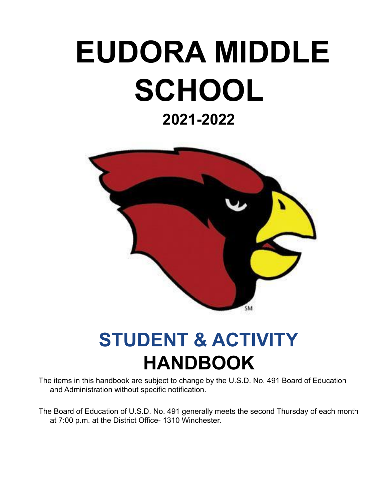# **EUDORA MIDDLE SCHOOL**

### **2021-2022**



## **STUDENT & ACTIVITY HANDBOOK**

The items in this handbook are subject to change by the U.S.D. No. 491 Board of Education and Administration without specific notification.

The Board of Education of U.S.D. No. 491 generally meets the second Thursday of each month at 7:00 p.m. at the District Office- 1310 Winchester.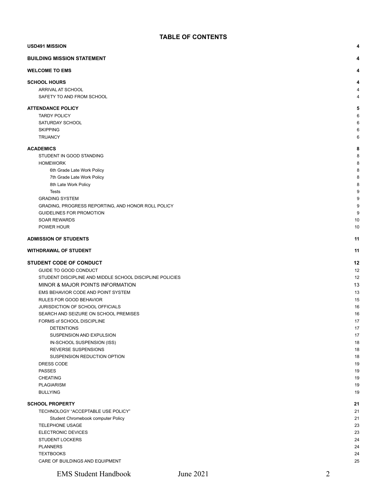| <b>USD491 MISSION</b><br>4                               |          |  |
|----------------------------------------------------------|----------|--|
| <b>BUILDING MISSION STATEMENT</b>                        | 4        |  |
| <b>WELCOME TO EMS</b>                                    | 4        |  |
| <b>SCHOOL HOURS</b>                                      | 4        |  |
| ARRIVAL AT SCHOOL                                        | 4        |  |
| SAFETY TO AND FROM SCHOOL                                | 4        |  |
| <b>ATTENDANCE POLICY</b>                                 | 5        |  |
| <b>TARDY POLICY</b>                                      | 6        |  |
| <b>SATURDAY SCHOOL</b>                                   | 6        |  |
| <b>SKIPPING</b>                                          | 6        |  |
| <b>TRUANCY</b>                                           | 6        |  |
| <b>ACADEMICS</b>                                         | 8        |  |
| STUDENT IN GOOD STANDING                                 | 8        |  |
| <b>HOMEWORK</b>                                          | 8        |  |
| 6th Grade Late Work Policy                               | 8        |  |
| 7th Grade Late Work Policy                               | 8        |  |
| 8th Late Work Policy                                     | 8        |  |
| <b>Tests</b>                                             | 9        |  |
| <b>GRADING SYSTEM</b>                                    | 9        |  |
| GRADING, PROGRESS REPORTING, AND HONOR ROLL POLICY       | 9        |  |
| <b>GUIDELINES FOR PROMOTION</b>                          | 9        |  |
| <b>SOAR REWARDS</b>                                      | 10       |  |
| POWER HOUR                                               | 10       |  |
| <b>ADMISSION OF STUDENTS</b>                             | 11       |  |
| <b>WITHDRAWAL OF STUDENT</b>                             | 11       |  |
| <b>STUDENT CODE OF CONDUCT</b>                           | 12       |  |
| GUIDE TO GOOD CONDUCT                                    | 12       |  |
| STUDENT DISCIPLINE AND MIDDLE SCHOOL DISCIPLINE POLICIES | 12       |  |
| MINOR & MAJOR POINTS INFORMATION                         | 13       |  |
| EMS BEHAVIOR CODE AND POINT SYSTEM                       | 13       |  |
| RULES FOR GOOD BEHAVIOR                                  | 15       |  |
| JURISDICTION OF SCHOOL OFFICIALS                         | 16       |  |
| SEARCH AND SEIZURE ON SCHOOL PREMISES                    | 16       |  |
| FORMS of SCHOOL DISCIPLINE                               | 17       |  |
| <b>DETENTIONS</b>                                        | 17       |  |
| SUSPENSION AND EXPULSION                                 | 17       |  |
| IN-SCHOOL SUSPENSION (ISS)                               | 18       |  |
| REVERSE SUSPENSIONS                                      | 18       |  |
| SUSPENSION REDUCTION OPTION                              | 18       |  |
| DRESS CODE                                               | 19       |  |
| <b>PASSES</b>                                            | 19       |  |
| <b>CHEATING</b>                                          | 19       |  |
| <b>PLAGIARISM</b><br><b>BULLYING</b>                     | 19<br>19 |  |
|                                                          |          |  |
| <b>SCHOOL PROPERTY</b>                                   | 21       |  |
| TECHNOLOGY "ACCEPTABLE USE POLICY"                       | 21       |  |
| Student Chromebook computer Policy                       | 21       |  |
| <b>TELEPHONE USAGE</b>                                   | 23       |  |
| ELECTRONIC DEVICES                                       | 23       |  |
| <b>STUDENT LOCKERS</b>                                   | 24       |  |
| <b>PLANNERS</b><br><b>TEXTBOOKS</b>                      | 24<br>24 |  |
| CARE OF BUILDINGS AND EQUIPMENT                          | 25       |  |
|                                                          |          |  |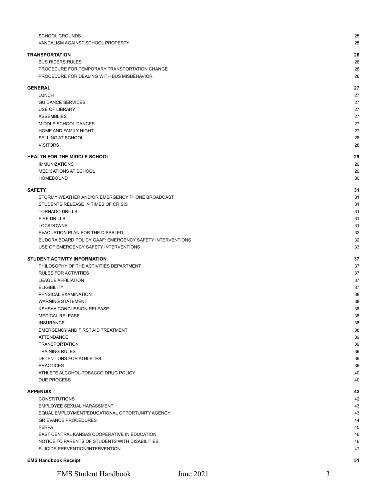| <b>SCHOOL GROUNDS</b><br>VANDALISM AGAINST SCHOOL PROPERTY | 25<br>25 |
|------------------------------------------------------------|----------|
| <b>TRANSPORTATION</b>                                      | 26       |
| <b>BUS RIDERS RULES</b>                                    | 26       |
| PROCEDURE FOR TEMPORARY TRANSPORTATION CHANGE              | 26       |
| PROCEDURE FOR DEALING WITH BUS MISBEHAVIOR                 | 26       |
| <b>GENERAL</b>                                             | 27       |
| LUNCH                                                      | 27       |
| <b>GUIDANCE SERVICES</b>                                   | 27       |
| <b>USE OF LIBRARY</b>                                      | 27       |
| <b>ASSEMBLIES</b>                                          | 27       |
| MIDDLE SCHOOL DANCES                                       | 27       |
| HOME AND FAMILY NIGHT                                      | 27       |
| <b>SELLING AT SCHOOL</b>                                   | 28       |
| <b>VISITORS</b>                                            | 28       |
| <b>HEALTH FOR THE MIDDLE SCHOOL</b>                        | 29       |
| <b>IMMUNIZATIONS</b>                                       | 29       |
| MEDICATIONS AT SCHOOL                                      | 29       |
| <b>HOMEBOUND</b>                                           | 30       |
| <b>SAFETY</b>                                              | 31       |
| STORMY WEATHER AND/OR EMERGENCY PHONE BROADCAST            | 31       |
| STUDENTS RELEASE IN TIMES OF CRISIS                        | 31       |
| <b>TORNADO DRILLS</b>                                      | 31       |
| <b>FIRE DRILLS</b>                                         | 31       |
| <b>LOCKDOWNS</b>                                           | 31       |
| EVACUATION PLAN FOR THE DISABLED                           | 32       |
| EUDORA BOARD POLICY GAAF: EMERGENCY SAFETY INTERVENTIONS   | 32       |
| USE OF EMERGENCY SAFETY INTERVENTIONS                      | 33       |
| <b>STUDENT ACTIVITY INFORMATION</b>                        | 37       |
| PHILOSOPHY OF THE ACTIVITIES DEPARTMENT                    | 37       |
| <b>RULES FOR ACTIVITIES</b>                                | 37       |
| <b>LEAGUE AFFILIATION</b>                                  | 37       |
| <b>ELIGIBILITY</b>                                         | 37       |
| PHYSICAL EXAMINATION                                       | 38       |
| <b>WARNING STATEMENT</b>                                   | 38       |
| KSHSAA CONCUSSION RELEASE                                  | 38       |
| <b>MEDICAL RELEASE</b>                                     | 38       |
| <b>INSURANCE</b>                                           | 38       |
| EMERGENCY AND FIRST AID TREATMENT                          | 38       |
| <b>ATTENDANCE</b>                                          | 39       |
| <b>TRANSPORTATION</b>                                      | 39       |
| <b>TRAINING RULES</b>                                      | 39       |
| DETENTIONS FOR ATHLETES                                    | 39       |
| <b>PRACTICES</b>                                           | 39       |
| ATHLETE ALCOHOL-TOBACCO DRUG POLICY                        | 40       |
| <b>DUE PROCESS</b>                                         | 40       |
| <b>APPENDIX</b>                                            | 42       |
| <b>CONSTITUTIONS</b>                                       | 42       |
| EMPLOYEE SEXUAL HARASSMENT                                 | 43       |
| EQUAL EMPLOYMENT/EDUCATIONAL OPPORTUNITY AGENCY            | 43       |
| <b>GRIEVANCE PROCEDURES</b>                                | 44       |
| <b>FERPA</b>                                               | 45       |
| EAST CENTRAL KANSAS COOPERATIVE IN EDUCATION               | 46       |
| NOTICE TO PARENTS OF STUDENTS WITH DISABILITIES            | 46       |
| SUICIDE PREVENTION/INTERVENTION                            | 47       |
|                                                            |          |
| <b>EMS Handbook Receipt</b>                                | 51       |

EMS Student Handbook June 2021 3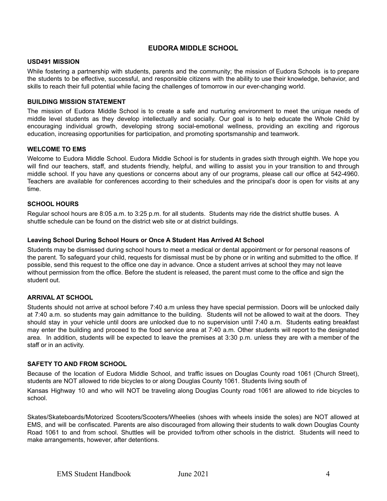#### **EUDORA MIDDLE SCHOOL**

#### <span id="page-3-0"></span>**USD491 MISSION**

While fostering a partnership with students, parents and the community; the mission of Eudora Schools is to prepare the students to be effective, successful, and responsible citizens with the ability to use their knowledge, behavior, and skills to reach their full potential while facing the challenges of tomorrow in our ever-changing world.

#### <span id="page-3-1"></span>**BUILDING MISSION STATEMENT**

The mission of Eudora Middle School is to create a safe and nurturing environment to meet the unique needs of middle level students as they develop intellectually and socially. Our goal is to help educate the Whole Child by encouraging individual growth, developing strong social-emotional wellness, providing an exciting and rigorous education, increasing opportunities for participation, and promoting sportsmanship and teamwork.

#### <span id="page-3-2"></span>**WELCOME TO EMS**

Welcome to Eudora Middle School. Eudora Middle School is for students in grades sixth through eighth. We hope you will find our teachers, staff, and students friendly, helpful, and willing to assist you in your transition to and through middle school. If you have any questions or concerns about any of our programs, please call our office at 542-4960. Teachers are available for conferences according to their schedules and the principal's door is open for visits at any time.

#### <span id="page-3-3"></span>**SCHOOL HOURS**

Regular school hours are 8:05 a.m. to 3:25 p.m. for all students. Students may ride the district shuttle buses. A shuttle schedule can be found on the district web site or at district buildings.

#### **Leaving School During School Hours or Once A Student Has Arrived At School**

Students may be dismissed during school hours to meet a medical or dental appointment or for personal reasons of the parent. To safeguard your child, requests for dismissal must be by phone or in writing and submitted to the office. If possible, send this request to the office one day in advance. Once a student arrives at school they may not leave without permission from the office. Before the student is released, the parent must come to the office and sign the student out.

#### <span id="page-3-4"></span>**ARRIVAL AT SCHOOL**

Students should not arrive at school before 7:40 a.m unless they have special permission. Doors will be unlocked daily at 7:40 a.m. so students may gain admittance to the building. Students will not be allowed to wait at the doors. They should stay in your vehicle until doors are unlocked due to no supervision until 7:40 a.m. Students eating breakfast may enter the building and proceed to the food service area at 7:40 a.m. Other students will report to the designated area. In addition, students will be expected to leave the premises at 3:30 p.m. unless they are with a member of the staff or in an activity.

#### <span id="page-3-5"></span>**SAFETY TO AND FROM SCHOOL**

Because of the location of Eudora Middle School, and traffic issues on Douglas County road 1061 (Church Street), students are NOT allowed to ride bicycles to or along Douglas County 1061. Students living south of

Kansas Highway 10 and who will NOT be traveling along Douglas County road 1061 are allowed to ride bicycles to school.

Skates/Skateboards/Motorized Scooters/Scooters/Wheelies (shoes with wheels inside the soles) are NOT allowed at EMS, and will be confiscated. Parents are also discouraged from allowing their students to walk down Douglas County Road 1061 to and from school. Shuttles will be provided to/from other schools in the district. Students will need to make arrangements, however, after detentions.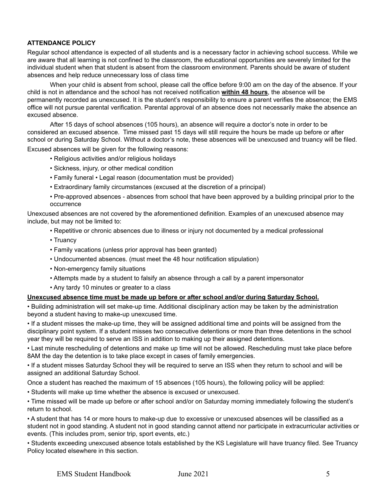#### <span id="page-4-0"></span>**ATTENDANCE POLICY**

Regular school attendance is expected of all students and is a necessary factor in achieving school success. While we are aware that all learning is not confined to the classroom, the educational opportunities are severely limited for the individual student when that student is absent from the classroom environment. Parents should be aware of student absences and help reduce unnecessary loss of class time

When your child is absent from school, please call the office before 9:00 am on the day of the absence. If your child is not in attendance and the school has not received notification **within 48 hours**, the absence will be permanently recorded as unexcused. It is the student's responsibility to ensure a parent verifies the absence; the EMS office will not pursue parental verification. Parental approval of an absence does not necessarily make the absence an excused absence.

After 15 days of school absences (105 hours), an absence will require a doctor's note in order to be considered an excused absence. Time missed past 15 days will still require the hours be made up before or after school or during Saturday School. Without a doctor's note, these absences will be unexcused and truancy will be filed.

Excused absences will be given for the following reasons:

- Religious activities and/or religious holidays
- Sickness, injury, or other medical condition
- Family funeral Legal reason (documentation must be provided)
- Extraordinary family circumstances (excused at the discretion of a principal)
- Pre-approved absences absences from school that have been approved by a building principal prior to the occurrence

Unexcused absences are not covered by the aforementioned definition. Examples of an unexcused absence may include, but may not be limited to:

- Repetitive or chronic absences due to illness or injury not documented by a medical professional
- Truancy
- Family vacations (unless prior approval has been granted)
- Undocumented absences. (must meet the 48 hour notification stipulation)
- Non-emergency family situations
- Attempts made by a student to falsify an absence through a call by a parent impersonator
- Any tardy 10 minutes or greater to a class

#### **Unexcused absence time must be made up before or after school and/or during Saturday School.**

• Building administration will set make-up time. Additional disciplinary action may be taken by the administration beyond a student having to make-up unexcused time.

• If a student misses the make-up time, they will be assigned additional time and points will be assigned from the disciplinary point system. If a student misses two consecutive detentions or more than three detentions in the school year they will be required to serve an ISS in addition to making up their assigned detentions.

• Last minute rescheduling of detentions and make up time will not be allowed. Rescheduling must take place before 8AM the day the detention is to take place except in cases of family emergencies.

• If a student misses Saturday School they will be required to serve an ISS when they return to school and will be assigned an additional Saturday School.

Once a student has reached the maximum of 15 absences (105 hours), the following policy will be applied:

• Students will make up time whether the absence is excused or unexcused.

• Time missed will be made up before or after school and/or on Saturday morning immediately following the student's return to school.

• A student that has 14 or more hours to make-up due to excessive or unexcused absences will be classified as a student not in good standing. A student not in good standing cannot attend nor participate in extracurricular activities or events. (This includes prom, senior trip, sport events, etc.)

• Students exceeding unexcused absence totals established by the KS Legislature will have truancy filed. See Truancy Policy located elsewhere in this section.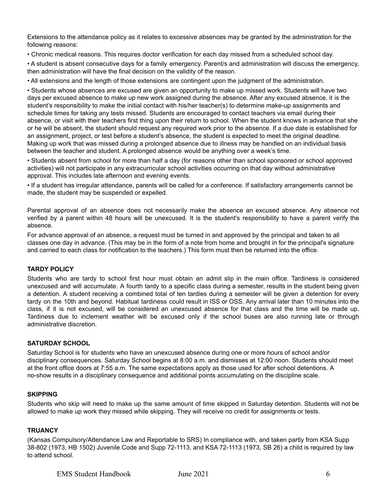Extensions to the attendance policy as it relates to excessive absences may be granted by the administration for the following reasons:

• Chronic medical reasons. This requires doctor verification for each day missed from a scheduled school day.

• A student is absent consecutive days for a family emergency. Parent/s and administration will discuss the emergency, then administration will have the final decision on the validity of the reason.

• All extensions and the length of those extensions are contingent upon the judgment of the administration.

• Students whose absences are excused are given an opportunity to make up missed work. Students will have two days per excused absence to make up new work assigned during the absence. After any excused absence, it is the student's responsibility to make the initial contact with his/her teacher(s) to determine make-up assignments and schedule times for taking any tests missed. Students are encouraged to contact teachers via email during their absence, or visit with their teachers first thing upon their return to school. When the student knows in advance that she or he will be absent, the student should request any required work prior to the absence. If a due date is established for an assignment, project, or test before a student's absence, the student is expected to meet the original deadline. Making up work that was missed during a prolonged absence due to illness may be handled on an individual basis between the teacher and student. A prolonged absence would be anything over a week's time.

• Students absent from school for more than half a day (for reasons other than school sponsored or school approved activities) will not participate in any extracurricular school activities occurring on that day without administrative approval. This includes late afternoon and evening events.

• If a student has irregular attendance, parents will be called for a conference. If satisfactory arrangements cannot be made, the student may be suspended or expelled.

Parental approval of an absence does not necessarily make the absence an excused absence. Any absence not verified by a parent within 48 hours will be unexcused. It is the student's responsibility to have a parent verify the absence.

For advance approval of an absence, a request must be turned in and approved by the principal and taken to all classes one day in advance. (This may be in the form of a note from home and brought in for the principal's signature and carried to each class for notification to the teachers.) This form must then be returned into the office.

#### <span id="page-5-0"></span>**TARDY POLICY**

Students who are tardy to school first hour must obtain an admit slip in the main office. Tardiness is considered unexcused and will accumulate. A fourth tardy to a specific class during a semester, results in the student being given a detention. A student receiving a combined total of ten tardies during a semester will be given a detention for every tardy on the 10th and beyond. Habitual tardiness could result in ISS or OSS. Any arrival later than 10 minutes into the class, if it is not excused, will be considered an unexcused absence for that class and the time will be made up. Tardiness due to inclement weather will be excused only if the school buses are also running late or through administrative discretion.

#### <span id="page-5-1"></span>**SATURDAY SCHOOL**

Saturday School is for students who have an unexcused absence during one or more hours of school and/or disciplinary consequences. Saturday School begins at 8:00 a.m. and dismisses at 12:00 noon. Students should meet at the front office doors at 7:55 a.m. The same expectations apply as those used for after school detentions. A no-show results in a disciplinary consequence and additional points accumulating on the discipline scale.

#### <span id="page-5-2"></span>**SKIPPING**

Students who skip will need to make up the same amount of time skipped in Saturday detention. Students will not be allowed to make up work they missed while skipping. They will receive no credit for assignments or tests.

#### <span id="page-5-3"></span>**TRUANCY**

(Kansas Compulsory/Attendance Law and Reportable to SRS) In compliance with, and taken partly from KSA Supp 38-802 (1973, HB 1502) Juvenile Code and Supp 72-1113, and KSA 72-1113 (1973, SB 26) a child is required by law to attend school.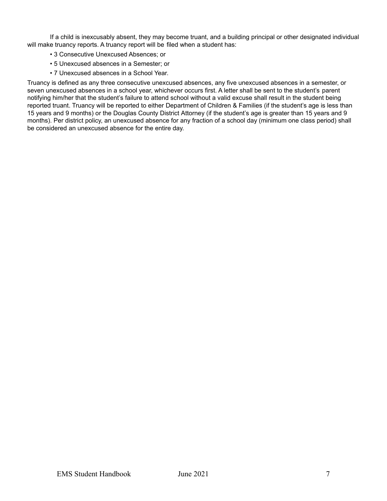If a child is inexcusably absent, they may become truant, and a building principal or other designated individual will make truancy reports. A truancy report will be filed when a student has:

- 3 Consecutive Unexcused Absences; or
- 5 Unexcused absences in a Semester; or
- 7 Unexcused absences in a School Year.

Truancy is defined as any three consecutive unexcused absences, any five unexcused absences in a semester, or seven unexcused absences in a school year, whichever occurs first. A letter shall be sent to the student's parent notifying him/her that the student's failure to attend school without a valid excuse shall result in the student being reported truant. Truancy will be reported to either Department of Children & Families (if the student's age is less than 15 years and 9 months) or the Douglas County District Attorney (if the student's age is greater than 15 years and 9 months). Per district policy, an unexcused absence for any fraction of a school day (minimum one class period) shall be considered an unexcused absence for the entire day.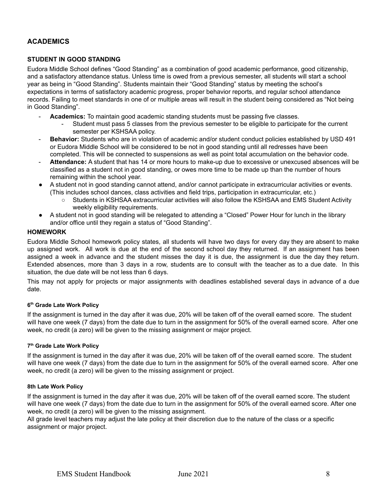#### <span id="page-7-0"></span>**ACADEMICS**

#### <span id="page-7-1"></span>**STUDENT IN GOOD STANDING**

Eudora Middle School defines "Good Standing" as a combination of good academic performance, good citizenship, and a satisfactory attendance status. Unless time is owed from a previous semester, all students will start a school year as being in "Good Standing". Students maintain their "Good Standing" status by meeting the school's expectations in terms of satisfactory academic progress, proper behavior reports, and regular school attendance records. Failing to meet standards in one of or multiple areas will result in the student being considered as "Not being in Good Standing".

- Academics: To maintain good academic standing students must be passing five classes.
	- Student must pass 5 classes from the previous semester to be eligible to participate for the current semester per KSHSAA policy.
- **Behavior:** Students who are in violation of academic and/or student conduct policies established by USD 491 or Eudora Middle School will be considered to be not in good standing until all redresses have been completed. This will be connected to suspensions as well as point total accumulation on the behavior code.
- **Attendance:** A student that has 14 or more hours to make-up due to excessive or unexcused absences will be classified as a student not in good standing, or owes more time to be made up than the number of hours remaining within the school year.
- A student not in good standing cannot attend, and/or cannot participate in extracurricular activities or events. (This includes school dances, class activities and field trips, participation in extracurricular, etc.)
	- Students in KSHSAA extracurricular activities will also follow the KSHSAA and EMS Student Activity weekly eligibility requirements.
- A student not in good standing will be relegated to attending a "Closed" Power Hour for lunch in the library and/or office until they regain a status of "Good Standing".

#### <span id="page-7-2"></span>**HOMEWORK**

Eudora Middle School homework policy states, all students will have two days for every day they are absent to make up assigned work. All work is due at the end of the second school day they returned. If an assignment has been assigned a week in advance and the student misses the day it is due, the assignment is due the day they return. Extended absences, more than 3 days in a row, students are to consult with the teacher as to a due date. In this situation, the due date will be not less than 6 days.

This may not apply for projects or major assignments with deadlines established several days in advance of a due date.

#### <span id="page-7-3"></span>**6 th Grade Late Work Policy**

If the assignment is turned in the day after it was due, 20% will be taken off of the overall earned score. The student will have one week (7 days) from the date due to turn in the assignment for 50% of the overall earned score. After one week, no credit (a zero) will be given to the missing assignment or major project.

#### <span id="page-7-4"></span>**7 th Grade Late Work Policy**

If the assignment is turned in the day after it was due, 20% will be taken off of the overall earned score. The student will have one week (7 days) from the date due to turn in the assignment for 50% of the overall earned score. After one week, no credit (a zero) will be given to the missing assignment or project.

#### <span id="page-7-5"></span>**8th Late Work Policy**

If the assignment is turned in the day after it was due, 20% will be taken off of the overall earned score. The student will have one week (7 days) from the date due to turn in the assignment for 50% of the overall earned score. After one week, no credit (a zero) will be given to the missing assignment.

All grade level teachers may adjust the late policy at their discretion due to the nature of the class or a specific assignment or major project.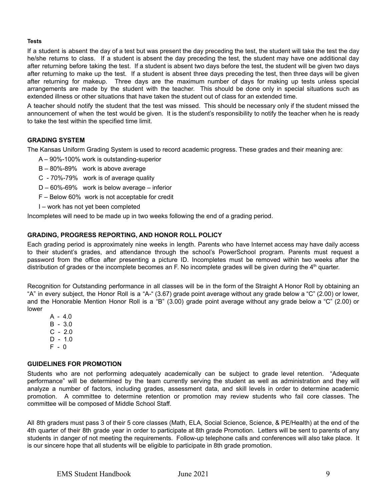#### <span id="page-8-0"></span>**Tests**

If a student is absent the day of a test but was present the day preceding the test, the student will take the test the day he/she returns to class. If a student is absent the day preceding the test, the student may have one additional day after returning before taking the test. If a student is absent two days before the test, the student will be given two days after returning to make up the test. If a student is absent three days preceding the test, then three days will be given after returning for makeup. Three days are the maximum number of days for making up tests unless special arrangements are made by the student with the teacher. This should be done only in special situations such as extended illness or other situations that have taken the student out of class for an extended time.

A teacher should notify the student that the test was missed. This should be necessary only if the student missed the announcement of when the test would be given. It is the student's responsibility to notify the teacher when he is ready to take the test within the specified time limit.

#### <span id="page-8-1"></span>**GRADING SYSTEM**

The Kansas Uniform Grading System is used to record academic progress. These grades and their meaning are:

- A 90%-100% work is outstanding-superior
- B 80%-89% work is above average
- C 70%-79% work is of average quality
- D 60%-69% work is below average inferior
- F Below 60% work is not acceptable for credit
- I work has not yet been completed

Incompletes will need to be made up in two weeks following the end of a grading period.

#### <span id="page-8-2"></span>**GRADING, PROGRESS REPORTING, AND HONOR ROLL POLICY**

Each grading period is approximately nine weeks in length. Parents who have Internet access may have daily access to their student's grades, and attendance through the school's PowerSchool program. Parents must request a password from the office after presenting a picture ID. Incompletes must be removed within two weeks after the distribution of grades or the incomplete becomes an F. No incomplete grades will be given during the 4<sup>th</sup> quarter.

Recognition for Outstanding performance in all classes will be in the form of the Straight A Honor Roll by obtaining an "A" in every subject, the Honor Roll is a "A-" (3.67) grade point average without any grade below a "C" (2.00) or lower, and the Honorable Mention Honor Roll is a "B" (3.00) grade point average without any grade below a "C" (2.00) or lower

 $A - 4.0$ B - 3.0  $C - 2.0$  $D - 1.0$  $F - 0$ 

#### <span id="page-8-3"></span>**GUIDELINES FOR PROMOTION**

Students who are not performing adequately academically can be subject to grade level retention. "Adequate performance" will be determined by the team currently serving the student as well as administration and they will analyze a number of factors, including grades, assessment data, and skill levels in order to determine academic promotion. A committee to determine retention or promotion may review students who fail core classes. The committee will be composed of Middle School Staff.

All 8th graders must pass 3 of their 5 core classes (Math, ELA, Social Science, Science, & PE/Health) at the end of the 4th quarter of their 8th grade year in order to participate at 8th grade Promotion. Letters will be sent to parents of any students in danger of not meeting the requirements. Follow-up telephone calls and conferences will also take place. It is our sincere hope that all students will be eligible to participate in 8th grade promotion.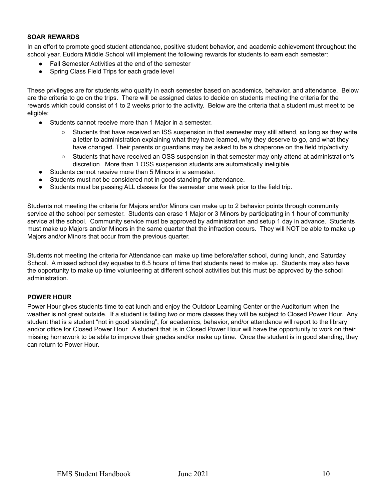#### <span id="page-9-0"></span>**SOAR REWARDS**

In an effort to promote good student attendance, positive student behavior, and academic achievement throughout the school year, Eudora Middle School will implement the following rewards for students to earn each semester:

- Fall Semester Activities at the end of the semester
- Spring Class Field Trips for each grade level

These privileges are for students who qualify in each semester based on academics, behavior, and attendance. Below are the criteria to go on the trips. There will be assigned dates to decide on students meeting the criteria for the rewards which could consist of 1 to 2 weeks prior to the activity. Below are the criteria that a student must meet to be eligible:

- Students cannot receive more than 1 Major in a semester.
	- Students that have received an ISS suspension in that semester may still attend, so long as they write a letter to administration explaining what they have learned, why they deserve to go, and what they have changed. Their parents or guardians may be asked to be a chaperone on the field trip/activity.
	- Students that have received an OSS suspension in that semester may only attend at administration's discretion. More than 1 OSS suspension students are automatically ineligible.
- Students cannot receive more than 5 Minors in a semester.
- Students must not be considered not in good standing for attendance.
- Students must be passing ALL classes for the semester one week prior to the field trip.

Students not meeting the criteria for Majors and/or Minors can make up to 2 behavior points through community service at the school per semester. Students can erase 1 Major or 3 Minors by participating in 1 hour of community service at the school. Community service must be approved by administration and setup 1 day in advance. Students must make up Majors and/or Minors in the same quarter that the infraction occurs. They will NOT be able to make up Majors and/or Minors that occur from the previous quarter.

Students not meeting the criteria for Attendance can make up time before/after school, during lunch, and Saturday School. A missed school day equates to 6.5 hours of time that students need to make up. Students may also have the opportunity to make up time volunteering at different school activities but this must be approved by the school administration.

#### <span id="page-9-1"></span>**POWER HOUR**

Power Hour gives students time to eat lunch and enjoy the Outdoor Learning Center or the Auditorium when the weather is not great outside. If a student is failing two or more classes they will be subject to Closed Power Hour. Any student that is a student "not in good standing", for academics, behavior, and/or attendance will report to the library and/or office for Closed Power Hour. A student that is in Closed Power Hour will have the opportunity to work on their missing homework to be able to improve their grades and/or make up time. Once the student is in good standing, they can return to Power Hour.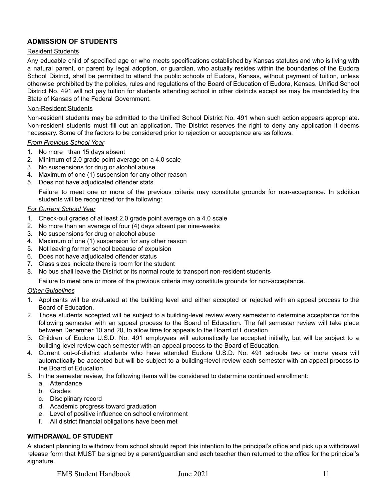#### <span id="page-10-0"></span>**ADMISSION OF STUDENTS**

#### Resident Students

Any educable child of specified age or who meets specifications established by Kansas statutes and who is living with a natural parent, or parent by legal adoption, or guardian, who actually resides within the boundaries of the Eudora School District, shall be permitted to attend the public schools of Eudora, Kansas, without payment of tuition, unless otherwise prohibited by the policies, rules and regulations of the Board of Education of Eudora, Kansas. Unified School District No. 491 will not pay tuition for students attending school in other districts except as may be mandated by the State of Kansas of the Federal Government.

#### Non-Resident Students

Non-resident students may be admitted to the Unified School District No. 491 when such action appears appropriate. Non-resident students must fill out an application. The District reserves the right to deny any application it deems necessary. Some of the factors to be considered prior to rejection or acceptance are as follows:

#### *From Previous School Year*

- 1. No more than 15 days absent
- 2. Minimum of 2.0 grade point average on a 4.0 scale
- 3. No suspensions for drug or alcohol abuse
- 4. Maximum of one (1) suspension for any other reason
- 5. Does not have adjudicated offender stats.

Failure to meet one or more of the previous criteria may constitute grounds for non-acceptance. In addition students will be recognized for the following:

#### *For Current School Year*

- 1. Check-out grades of at least 2.0 grade point average on a 4.0 scale
- 2. No more than an average of four (4) days absent per nine-weeks
- 3. No suspensions for drug or alcohol abuse
- 4. Maximum of one (1) suspension for any other reason
- 5. Not leaving former school because of expulsion
- 6. Does not have adjudicated offender status
- 7. Class sizes indicate there is room for the student
- 8. No bus shall leave the District or its normal route to transport non-resident students

Failure to meet one or more of the previous criteria may constitute grounds for non-acceptance.

#### *Other Guidelines*

- 1. Applicants will be evaluated at the building level and either accepted or rejected with an appeal process to the Board of Education.
- 2. Those students accepted will be subject to a building-level review every semester to determine acceptance for the following semester with an appeal process to the Board of Education. The fall semester review will take place between December 10 and 20, to allow time for appeals to the Board of Education.
- 3. Children of Eudora U.S.D. No. 491 employees will automatically be accepted initially, but will be subject to a building-level review each semester with an appeal process to the Board of Education.
- 4. Current out-of-district students who have attended Eudora U.S.D. No. 491 schools two or more years will automatically be accepted but will be subject to a building=level review each semester with an appeal process to the Board of Education.
- 5. In the semester review, the following items will be considered to determine continued enrollment:
	- a. Attendance
	- b. Grades
	- c. Disciplinary record
	- d. Academic progress toward graduation
	- e. Level of positive influence on school environment
	- f. All district financial obligations have been met

#### <span id="page-10-1"></span>**WITHDRAWAL OF STUDENT**

A student planning to withdraw from school should report this intention to the principal's office and pick up a withdrawal release form that MUST be signed by a parent/guardian and each teacher then returned to the office for the principal's signature.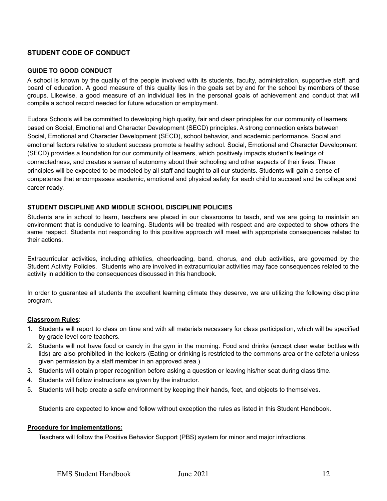#### <span id="page-11-0"></span>**STUDENT CODE OF CONDUCT**

#### <span id="page-11-1"></span>**GUIDE TO GOOD CONDUCT**

A school is known by the quality of the people involved with its students, faculty, administration, supportive staff, and board of education. A good measure of this quality lies in the goals set by and for the school by members of these groups. Likewise, a good measure of an individual lies in the personal goals of achievement and conduct that will compile a school record needed for future education or employment.

Eudora Schools will be committed to developing high quality, fair and clear principles for our community of learners based on Social, Emotional and Character Development (SECD) principles. A strong connection exists between Social, Emotional and Character Development (SECD), school behavior, and academic performance. Social and emotional factors relative to student success promote a healthy school. Social, Emotional and Character Development (SECD) provides a foundation for our community of learners, which positively impacts student's feelings of connectedness, and creates a sense of autonomy about their schooling and other aspects of their lives. These principles will be expected to be modeled by all staff and taught to all our students. Students will gain a sense of competence that encompasses academic, emotional and physical safety for each child to succeed and be college and career ready.

#### <span id="page-11-2"></span>**STUDENT DISCIPLINE AND MIDDLE SCHOOL DISCIPLINE POLICIES**

Students are in school to learn, teachers are placed in our classrooms to teach, and we are going to maintain an environment that is conducive to learning. Students will be treated with respect and are expected to show others the same respect. Students not responding to this positive approach will meet with appropriate consequences related to their actions.

Extracurricular activities, including athletics, cheerleading, band, chorus, and club activities, are governed by the Student Activity Policies. Students who are involved in extracurricular activities may face consequences related to the activity in addition to the consequences discussed in this handbook.

In order to guarantee all students the excellent learning climate they deserve, we are utilizing the following discipline program.

#### **Classroom Rules**:

- 1. Students will report to class on time and with all materials necessary for class participation, which will be specified by grade level core teachers.
- 2. Students will not have food or candy in the gym in the morning. Food and drinks (except clear water bottles with lids) are also prohibited in the lockers (Eating or drinking is restricted to the commons area or the cafeteria unless given permission by a staff member in an approved area.)
- 3. Students will obtain proper recognition before asking a question or leaving his/her seat during class time.
- 4. Students will follow instructions as given by the instructor.
- 5. Students will help create a safe environment by keeping their hands, feet, and objects to themselves.

Students are expected to know and follow without exception the rules as listed in this Student Handbook.

#### **Procedure for Implementations:**

Teachers will follow the Positive Behavior Support (PBS) system for minor and major infractions.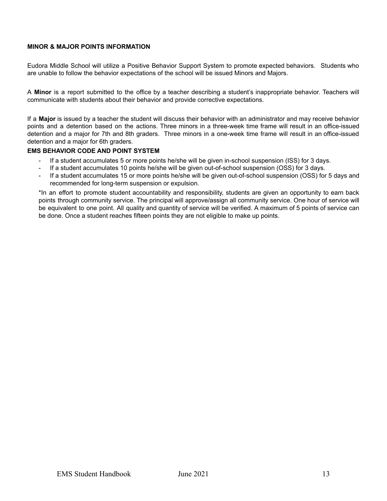#### <span id="page-12-0"></span>**MINOR & MAJOR POINTS INFORMATION**

Eudora Middle School will utilize a Positive Behavior Support System to promote expected behaviors. Students who are unable to follow the behavior expectations of the school will be issued Minors and Majors.

A **Minor** is a report submitted to the office by a teacher describing a student's inappropriate behavior. Teachers will communicate with students about their behavior and provide corrective expectations.

If a **Major** is issued by a teacher the student will discuss their behavior with an administrator and may receive behavior points and a detention based on the actions. Three minors in a three-week time frame will result in an office-issued detention and a major for 7th and 8th graders. Three minors in a one-week time frame will result in an office-issued detention and a major for 6th graders.

#### <span id="page-12-1"></span>**EMS BEHAVIOR CODE AND POINT SYSTEM**

- If a student accumulates 5 or more points he/she will be given in-school suspension (ISS) for 3 days.
- If a student accumulates 10 points he/she will be given out-of-school suspension (OSS) for 3 days.
- If a student accumulates 15 or more points he/she will be given out-of-school suspension (OSS) for 5 days and recommended for long-term suspension or expulsion.

\*In an effort to promote student accountability and responsibility, students are given an opportunity to earn back points through community service. The principal will approve/assign all community service. One hour of service will be equivalent to one point. All quality and quantity of service will be verified. A maximum of 5 points of service can be done. Once a student reaches fifteen points they are not eligible to make up points.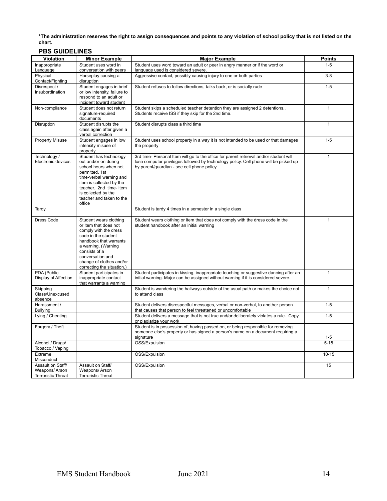\*The administration reserves the right to assign consequences and points to any violation of school policy that is not listed on the **chart.**

#### **PBS GUIDELINES**

| . 59 99.555.1159<br>Violation        | <b>Minor Example</b>                                                   | <b>Major Example</b>                                                                                                                                                         | <b>Points</b> |
|--------------------------------------|------------------------------------------------------------------------|------------------------------------------------------------------------------------------------------------------------------------------------------------------------------|---------------|
| Inappropriate                        | Student uses word in                                                   | Student uses word toward an adult or peer in angry manner or if the word or                                                                                                  | $1 - 5$       |
| Language                             | conversation with peers                                                | language used is considered severe.                                                                                                                                          |               |
| Physical<br>Contact/Fighting         | Horseplay causing a<br>disruption                                      | Aggressive contact, possibly causing injury to one or both parties                                                                                                           | $3-8$         |
| Disrespect /                         | Student engages in brief                                               | Student refuses to follow directions, talks back, or is socially rude                                                                                                        | $1 - 5$       |
| Insubordination                      | or low intensity, failure to                                           |                                                                                                                                                                              |               |
|                                      | respond to an adult or<br>incident toward student                      |                                                                                                                                                                              |               |
| Non-compliance                       | Student does not return                                                | Student skips a scheduled teacher detention they are assigned 2 detentions                                                                                                   | $\mathbf{1}$  |
|                                      | signature-required<br>documents                                        | Students receive ISS if they skip for the 2nd time.                                                                                                                          |               |
| Disruption                           | Student disrupts the<br>class again after given a<br>verbal correction | Student disrupts class a third time                                                                                                                                          | $\mathbf{1}$  |
| <b>Property Misuse</b>               | Student engages in low                                                 | Student uses school property in a way it is not intended to be used or that damages                                                                                          | $1 - 5$       |
|                                      | intensity misuse of<br>property                                        | the property                                                                                                                                                                 |               |
| Technology /                         | Student has technology                                                 | 3rd time- Personal Item will go to the office for parent retrieval and/or student will                                                                                       | $\mathbf{1}$  |
| Electronic devices                   | out and/or on during<br>school hours when not                          | lose computer privileges followed by technology policy. Cell phone will be picked up<br>by parent/quardian - see cell phone policy                                           |               |
|                                      | permitted. 1st                                                         |                                                                                                                                                                              |               |
|                                      | time-verbal warning and                                                |                                                                                                                                                                              |               |
|                                      | item is collected by the<br>teacher. 2nd time- item                    |                                                                                                                                                                              |               |
|                                      | is collected by the                                                    |                                                                                                                                                                              |               |
|                                      | teacher and taken to the                                               |                                                                                                                                                                              |               |
|                                      | office                                                                 |                                                                                                                                                                              |               |
| Tardy                                |                                                                        | Student is tardy 4 times in a semester in a single class                                                                                                                     |               |
| Dress Code                           | Student wears clothing                                                 | Student wears clothing or item that does not comply with the dress code in the                                                                                               | $\mathbf{1}$  |
|                                      | or item that does not<br>comply with the dress                         | student handbook after an initial warning                                                                                                                                    |               |
|                                      | code in the student                                                    |                                                                                                                                                                              |               |
|                                      | handbook that warrants                                                 |                                                                                                                                                                              |               |
|                                      | a warning, (Warning<br>consists of a                                   |                                                                                                                                                                              |               |
|                                      | conversation and                                                       |                                                                                                                                                                              |               |
|                                      | change of clothes and/or                                               |                                                                                                                                                                              |               |
|                                      | correcting the situation.)                                             |                                                                                                                                                                              |               |
| PDA (Public<br>Display of Affection  | Student participates in<br>inappropriate contact                       | Student participates in kissing, inappropriate touching or suggestive dancing after an<br>initial warning. Major can be assigned without warning if it is considered severe. | $\mathbf{1}$  |
|                                      | that warrants a warning                                                |                                                                                                                                                                              |               |
| Skipping<br>Class/Unexcused          |                                                                        | Student is wandering the hallways outside of the usual path or makes the choice not<br>to attend class                                                                       | $\mathbf{1}$  |
| absence                              |                                                                        |                                                                                                                                                                              |               |
| Harassment /<br><b>Bullying</b>      |                                                                        | Student delivers disrespectful messages, verbal or non-verbal, to another person<br>that causes that person to feel threatened or uncomfortable                              | $1-5$         |
| Lying / Cheating                     |                                                                        | Student delivers a message that is not true and/or deliberately violates a rule. Copy<br>or plagiarize your work                                                             | $1 - 5$       |
| Forgery / Theft                      |                                                                        | Student is in possession of, having passed on, or being responsible for removing                                                                                             |               |
|                                      |                                                                        | someone else's property or has signed a person's name on a document requiring a<br>signature                                                                                 | $1 - 5$       |
| Alcohol / Drugs/<br>Tobacco / Vaping |                                                                        | OSS/Expulsion                                                                                                                                                                | $5 - 15$      |
| Extreme<br>Misconduct                |                                                                        | OSS/Expulsion                                                                                                                                                                | $10 - 15$     |
| Assault on Staff/                    | Assault on Staff/                                                      | OSS/Expulsion                                                                                                                                                                | 15            |
| Weapons/Arson                        | Weapons/Arson                                                          |                                                                                                                                                                              |               |
| <b>Terroristic Threat</b>            | <b>Terroristic Threat</b>                                              |                                                                                                                                                                              |               |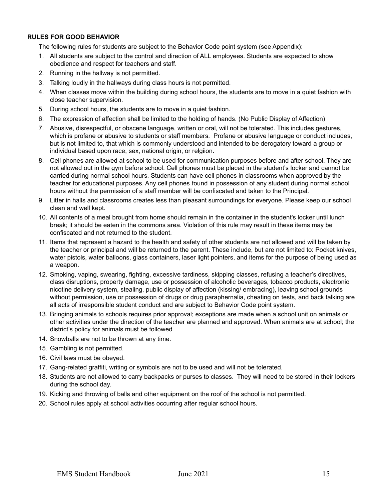#### <span id="page-14-0"></span>**RULES FOR GOOD BEHAVIOR**

The following rules for students are subject to the Behavior Code point system (see Appendix):

- 1. All students are subject to the control and direction of ALL employees. Students are expected to show obedience and respect for teachers and staff.
- 2. Running in the hallway is not permitted.
- 3. Talking loudly in the hallways during class hours is not permitted.
- 4. When classes move within the building during school hours, the students are to move in a quiet fashion with close teacher supervision.
- 5. During school hours, the students are to move in a quiet fashion.
- 6. The expression of affection shall be limited to the holding of hands. (No Public Display of Affection)
- 7. Abusive, disrespectful, or obscene language, written or oral, will not be tolerated. This includes gestures, which is profane or abusive to students or staff members. Profane or abusive language or conduct includes, but is not limited to, that which is commonly understood and intended to be derogatory toward a group or individual based upon race, sex, national origin, or relgiion.
- 8. Cell phones are allowed at school to be used for communication purposes before and after school. They are not allowed out in the gym before school. Cell phones must be placed in the student's locker and cannot be carried during normal school hours. Students can have cell phones in classrooms when approved by the teacher for educational purposes. Any cell phones found in possession of any student during normal school hours without the permission of a staff member will be confiscated and taken to the Principal.
- 9. Litter in halls and classrooms creates less than pleasant surroundings for everyone. Please keep our school clean and well kept.
- 10. All contents of a meal brought from home should remain in the container in the student's locker until lunch break; it should be eaten in the commons area. Violation of this rule may result in these items may be confiscated and not returned to the student.
- 11. Items that represent a hazard to the health and safety of other students are not allowed and will be taken by the teacher or principal and will be returned to the parent. These include, but are not limited to: Pocket knives, water pistols, water balloons, glass containers, laser light pointers, and items for the purpose of being used as a weapon.
- 12. Smoking, vaping, swearing, fighting, excessive tardiness, skipping classes, refusing a teacher's directives, class disruptions, property damage, use or possession of alcoholic beverages, tobacco products, electronic nicotine delivery system, stealing, public display of affection (kissing/ embracing), leaving school grounds without permission, use or possession of drugs or drug paraphernalia, cheating on tests, and back talking are all acts of irresponsible student conduct and are subject to Behavior Code point system.
- 13. Bringing animals to schools requires prior approval; exceptions are made when a school unit on animals or other activities under the direction of the teacher are planned and approved. When animals are at school; the district's policy for animals must be followed.
- 14. Snowballs are not to be thrown at any time.
- 15. Gambling is not permitted.
- 16. Civil laws must be obeyed.
- 17. Gang-related graffiti, writing or symbols are not to be used and will not be tolerated.
- 18. Students are not allowed to carry backpacks or purses to classes. They will need to be stored in their lockers during the school day.
- 19. Kicking and throwing of balls and other equipment on the roof of the school is not permitted.
- 20. School rules apply at school activities occurring after regular school hours.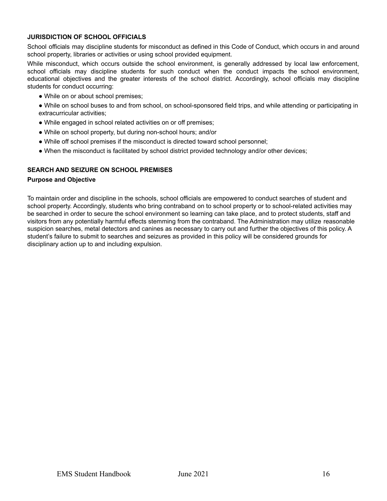#### <span id="page-15-0"></span>**JURISDICTION OF SCHOOL OFFICIALS**

School officials may discipline students for misconduct as defined in this Code of Conduct, which occurs in and around school property, libraries or activities or using school provided equipment.

While misconduct, which occurs outside the school environment, is generally addressed by local law enforcement, school officials may discipline students for such conduct when the conduct impacts the school environment, educational objectives and the greater interests of the school district. Accordingly, school officials may discipline students for conduct occurring:

- While on or about school premises;
- While on school buses to and from school, on school-sponsored field trips, and while attending or participating in extracurricular activities;
- While engaged in school related activities on or off premises;
- While on school property, but during non-school hours; and/or
- While off school premises if the misconduct is directed toward school personnel;
- When the misconduct is facilitated by school district provided technology and/or other devices;

#### <span id="page-15-1"></span>**SEARCH AND SEIZURE ON SCHOOL PREMISES**

#### **Purpose and Objective**

To maintain order and discipline in the schools, school officials are empowered to conduct searches of student and school property. Accordingly, students who bring contraband on to school property or to school-related activities may be searched in order to secure the school environment so learning can take place, and to protect students, staff and visitors from any potentially harmful effects stemming from the contraband. The Administration may utilize reasonable suspicion searches, metal detectors and canines as necessary to carry out and further the objectives of this policy. A student's failure to submit to searches and seizures as provided in this policy will be considered grounds for disciplinary action up to and including expulsion.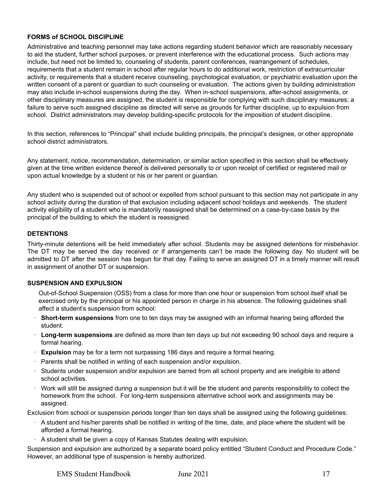#### <span id="page-16-0"></span>**FORMS of SCHOOL DISCIPLINE**

Administrative and teaching personnel may take actions regarding student behavior which are reasonably necessary to aid the student, further school purposes, or prevent interference with the educational process. Such actions may include, but need not be limited to, counseling of students, parent conferences, rearrangement of schedules, requirements that a student remain in school after regular hours to do additional work, restriction of extracurricular activity, or requirements that a student receive counseling, psychological evaluation, or psychiatric evaluation upon the written consent of a parent or guardian to such counseling or evaluation. The actions given by building administration may also include in-school suspensions during the day. When in-school suspensions, after-school assignments, or other disciplinary measures are assigned, the student is responsible for complying with such disciplinary measures; a failure to serve such assigned discipline as directed will serve as grounds for further discipline, up to expulsion from school. District administrators may develop building-specific protocols for the imposition of student discipline.

In this section, references to "Principal" shall include building principals, the principal's designee, or other appropriate school district administrators.

Any statement, notice, recommendation, determination, or similar action specified in this section shall be effectively given at the time written evidence thereof is delivered personally to or upon receipt of certified or registered mail or upon actual knowledge by a student or his or her parent or guardian.

Any student who is suspended out of school or expelled from school pursuant to this section may not participate in any school activity during the duration of that exclusion including adjacent school holidays and weekends. The student activity eligibility of a student who is mandatorily reassigned shall be determined on a case-by-case basis by the principal of the building to which the student is reassigned.

#### <span id="page-16-1"></span>**DETENTIONS**

Thirty-minute detentions will be held immediately after school. Students may be assigned detentions for misbehavior. The DT may be served the day received or if arrangements can't be made the following day. No student will be admitted to DT after the session has begun for that day. Failing to serve an assigned DT in a timely manner will result in assignment of another DT or suspension.

#### <span id="page-16-2"></span>**SUSPENSION AND EXPULSION**

Out-of-School Suspension (OSS) from a class for more than one hour or suspension from school itself shall be exercised only by the principal or his appointed person in charge in his absence. The following guidelines shall affect a student's suspension from school:

- · **Short-term suspensions** from one to ten days may be assigned with an informal hearing being afforded the student.
- · **Long-term suspensions** are defined as more than ten days up but not exceeding 90 school days and require a formal hearing.
- **Expulsion** may be for a term not surpassing 186 days and require a formal hearing.
- Parents shall be notified in writing of each suspension and/or expulsion.
- · Students under suspension and/or expulsion are barred from all school property and are ineligible to attend school activities.
- · Work will still be assigned during a suspension but it will be the student and parents responsibility to collect the homework from the school. For long-term suspensions alternative school work and assignments may be assigned.

Exclusion from school or suspension periods longer than ten days shall be assigned using the following guidelines:

- · A student and his/her parents shall be notified in writing of the time, date, and place where the student will be afforded a formal hearing.
- · A student shall be given a copy of Kansas Statutes dealing with expulsion.

Suspension and expulsion are authorized by a separate board policy entitled "Student Conduct and Procedure Code." However, an additional type of suspension is hereby authorized.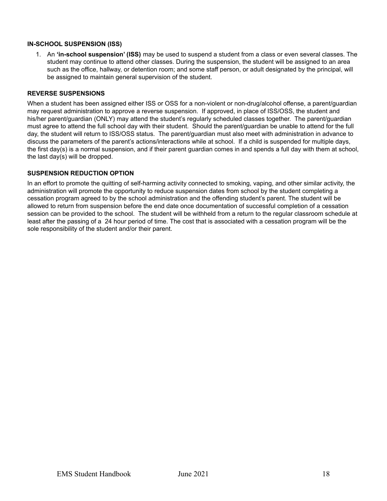#### <span id="page-17-0"></span>**IN-SCHOOL SUSPENSION (ISS)**

1. An **'in-school suspension' (ISS)** may be used to suspend a student from a class or even several classes. The student may continue to attend other classes. During the suspension, the student will be assigned to an area such as the office, hallway, or detention room; and some staff person, or adult designated by the principal, will be assigned to maintain general supervision of the student.

#### <span id="page-17-1"></span>**REVERSE SUSPENSIONS**

When a student has been assigned either ISS or OSS for a non-violent or non-drug/alcohol offense, a parent/guardian may request administration to approve a reverse suspension. If approved, in place of ISS/OSS, the student and his/her parent/guardian (ONLY) may attend the student's regularly scheduled classes together. The parent/guardian must agree to attend the full school day with their student. Should the parent/guardian be unable to attend for the full day, the student will return to ISS/OSS status. The parent/guardian must also meet with administration in advance to discuss the parameters of the parent's actions/interactions while at school. If a child is suspended for multiple days, the first day(s) is a normal suspension, and if their parent guardian comes in and spends a full day with them at school, the last day(s) will be dropped.

#### <span id="page-17-2"></span>**SUSPENSION REDUCTION OPTION**

In an effort to promote the quitting of self-harming activity connected to smoking, vaping, and other similar activity, the administration will promote the opportunity to reduce suspension dates from school by the student completing a cessation program agreed to by the school administration and the offending student's parent. The student will be allowed to return from suspension before the end date once documentation of successful completion of a cessation session can be provided to the school. The student will be withheld from a return to the regular classroom schedule at least after the passing of a 24 hour period of time. The cost that is associated with a cessation program will be the sole responsibility of the student and/or their parent.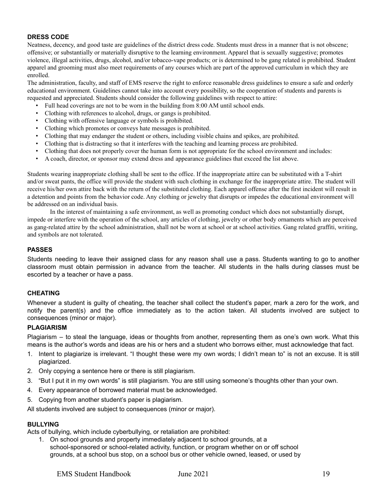#### <span id="page-18-0"></span>**DRESS CODE**

Neatness, decency, and good taste are guidelines of the district dress code. Students must dress in a manner that is not obscene; offensive; or substantially or materially disruptive to the learning environment. Apparel that is sexually suggestive; promotes violence, illegal activities, drugs, alcohol, and/or tobacco-vape products; or is determined to be gang related is prohibited. Student apparel and grooming must also meet requirements of any courses which are part of the approved curriculum in which they are enrolled.

The administration, faculty, and staff of EMS reserve the right to enforce reasonable dress guidelines to ensure a safe and orderly educational environment. Guidelines cannot take into account every possibility, so the cooperation of students and parents is requested and appreciated. Students should consider the following guidelines with respect to attire:

- Full head coverings are not to be worn in the building from 8:00 AM until school ends.
- Clothing with references to alcohol, drugs, or gangs is prohibited.
- Clothing with offensive language or symbols is prohibited.
- Clothing which promotes or conveys hate messages is prohibited.
- Clothing that may endanger the student or others, including visible chains and spikes, are prohibited.
- Clothing that is distracting so that it interferes with the teaching and learning process are prohibited.
- Clothing that does not properly cover the human form is not appropriate for the school environment and includes:
- A coach, director, or sponsor may extend dress and appearance guidelines that exceed the list above.

Students wearing inappropriate clothing shall be sent to the office. If the inappropriate attire can be substituted with a T-shirt and/or sweat pants, the office will provide the student with such clothing in exchange for the inappropriate attire. The student will receive his/her own attire back with the return of the substituted clothing. Each apparel offense after the first incident will result in a detention and points from the behavior code. Any clothing or jewelry that disrupts or impedes the educational environment will be addressed on an individual basis.

In the interest of maintaining a safe environment, as well as promoting conduct which does not substantially disrupt, impede or interfere with the operation of the school, any articles of clothing, jewelry or other body ornaments which are perceived as gang-related attire by the school administration, shall not be worn at school or at school activities. Gang related graffiti, writing, and symbols are not tolerated.

#### <span id="page-18-1"></span>**PASSES**

Students needing to leave their assigned class for any reason shall use a pass. Students wanting to go to another classroom must obtain permission in advance from the teacher. All students in the halls during classes must be escorted by a teacher or have a pass.

#### <span id="page-18-2"></span>**CHEATING**

Whenever a student is guilty of cheating, the teacher shall collect the student's paper, mark a zero for the work, and notify the parent(s) and the office immediately as to the action taken. All students involved are subject to consequences (minor or major).

#### <span id="page-18-3"></span>**PLAGIARISM**

Plagiarism – to steal the language, ideas or thoughts from another, representing them as one's own work. What this means is the author's words and ideas are his or hers and a student who borrows either, must acknowledge that fact.

- 1. Intent to plagiarize is irrelevant. "I thought these were my own words; I didn't mean to" is not an excuse. It is still plagiarized.
- 2. Only copying a sentence here or there is still plagiarism.
- 3. "But I put it in my own words" is still plagiarism. You are still using someone's thoughts other than your own.
- 4. Every appearance of borrowed material must be acknowledged.
- 5. Copying from another student's paper is plagiarism.

All students involved are subject to consequences (minor or major).

#### <span id="page-18-4"></span>**BULLYING**

Acts of bullying, which include cyberbullying, or retaliation are prohibited:

1. On school grounds and property immediately adjacent to school grounds, at a school-sponsored or school-related activity, function, or program whether on or off school grounds, at a school bus stop, on a school bus or other vehicle owned, leased, or used by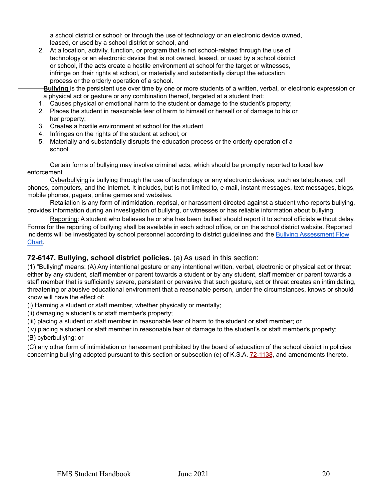a school district or school; or through the use of technology or an electronic device owned, leased, or used by a school district or school, and

2. At a location, activity, function, or program that is not school-related through the use of technology or an electronic device that is not owned, leased, or used by a school district or school, if the acts create a hostile environment at school for the target or witnesses, infringe on their rights at school, or materially and substantially disrupt the education process or the orderly operation of a school.

**Bullying** is the persistent use over time by one or more students of a written, verbal, or electronic expression or a physical act or gesture or any combination thereof, targeted at a student that:

- 1. Causes physical or emotional harm to the student or damage to the student's property;
- 2. Places the student in reasonable fear of harm to himself or herself or of damage to his or her property;
- 3. Creates a hostile environment at school for the student
- 4. Infringes on the rights of the student at school; or
- 5. Materially and substantially disrupts the education process or the orderly operation of a school.

Certain forms of bullying may involve criminal acts, which should be promptly reported to local law enforcement.

Cyberbullying is bullying through the use of technology or any electronic devices, such as telephones, cell phones, computers, and the Internet. It includes, but is not limited to, e-mail, instant messages, text messages, blogs, mobile phones, pagers, online games and websites.

Retaliation is any form of intimidation, reprisal, or harassment directed against a student who reports bullying, provides information during an investigation of bullying, or witnesses or has reliable information about bullying.

Reporting: A student who believes he or she has been bullied should report it to school officials without delay. Forms for the reporting of bullying shall be available in each school office, or on the school district website. Reported incidents will be investigated by school personnel according to district guidelines and the Bullying [Assessment](https://www.eudoraschools.org/cms/lib/KS01906911/Centricity/Domain/23/Bullying_Parents-Students.pdf) Flow [Chart.](https://www.eudoraschools.org/cms/lib/KS01906911/Centricity/Domain/23/Bullying_Parents-Students.pdf)

#### **72-6147. Bullying, school district policies.** (a) As used in this section:

(1) "Bullying" means: (A) Any intentional gesture or any intentional written, verbal, electronic or physical act or threat either by any student, staff member or parent towards a student or by any student, staff member or parent towards a staff member that is sufficiently severe, persistent or pervasive that such gesture, act or threat creates an intimidating, threatening or abusive educational environment that a reasonable person, under the circumstances, knows or should know will have the effect of:

(i) Harming a student or staff member, whether physically or mentally;

(ii) damaging a student's or staff member's property;

(iii) placing a student or staff member in reasonable fear of harm to the student or staff member; or

(iv) placing a student or staff member in reasonable fear of damage to the student's or staff member's property;

(B) cyberbullying; or

(C) any other form of intimidation or harassment prohibited by the board of education of the school district in policies concerning bullying adopted pursuant to this section or subsection (e) of K.S.A. [72-1138](https://www.ksrevisor.org/statutes/chapters/ch72/072_011_0038.html), and amendments thereto.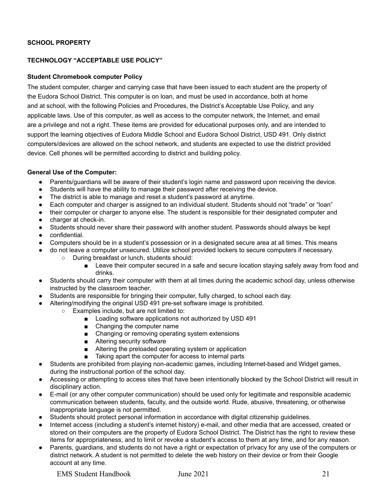#### <span id="page-20-0"></span>**SCHOOL PROPERTY**

#### <span id="page-20-2"></span><span id="page-20-1"></span>**TECHNOLOGY "ACCEPTABLE USE POLICY"**

#### **Student Chromebook computer Policy**

The student computer, charger and carrying case that have been issued to each student are the property of the Eudora School District. This computer is on loan, and must be used in accordance, both at home and at school, with the following Policies and Procedures, the District's Acceptable Use Policy, and any applicable laws. Use of this computer, as well as access to the computer network, the Internet, and email are a privilege and not a right. These items are provided for educational purposes only, and are intended to support the learning objectives of Eudora Middle School and Eudora School District, USD 491. Only district computers/devices are allowed on the school network, and students are expected to use the district provided device. Cell phones will be permitted according to district and building policy.

#### **General Use of the Computer:**

- Parents/guardians will be aware of their student's login name and password upon receiving the device.
- Students will have the ability to manage their password after receiving the device.
- The district is able to manage and reset a student's password at anytime.
- Each computer and charger is assigned to an individual student. Students should not "trade" or "loan"
- their computer or charger to anyone else. The student is responsible for their designated computer and
- charger at check-in.
- Students should never share their password with another student. Passwords should always be kept
- confidential.
- Computers should be in a student's possession or in a designated secure area at all times. This means
- do not leave a computer unsecured. Utilize school provided lockers to secure computers if necessary.
	- During breakfast or lunch, students should:
		- Leave their computer secured in a safe and secure location staying safely away from food and drinks.
- Students should carry their computer with them at all times during the academic school day, unless otherwise instructed by the classroom teacher.
- Students are responsible for bringing their computer, fully charged, to school each day.
- Altering/modifying the original USD 491 pre-set software image is prohibited.
	- Examples include, but are not limited to:
		- Loading software applications not authorized by USD 491
		- Changing the computer name
		- Changing or removing operating system extensions
		- Altering security software
		- Altering the preloaded operating system or application
		- Taking apart the computer for access to internal parts
- Students are prohibited from playing non-academic games, including Internet-based and Widget games, during the instructional portion of the school day.
- Accessing or attempting to access sites that have been intentionally blocked by the School District will result in disciplinary action.
- E-mail (or any other computer communication) should be used only for legitimate and responsible academic communication between students, faculty, and the outside world. Rude, abusive, threatening, or otherwise inappropriate language is not permitted.
- Students should protect personal information in accordance with digital citizenship guidelines.
- Internet access (including a student's internet history) e-mail, and other media that are accessed, created or stored on their computers are the property of Eudora School District. The District has the right to review these items for appropriateness, and to limit or revoke a student's access to them at any time, and for any reason.
- Parents, guardians, and students do not have a right or expectation of privacy for any use of the computers or district network. A student is not permitted to delete the web history on their device or from their Google account at any time.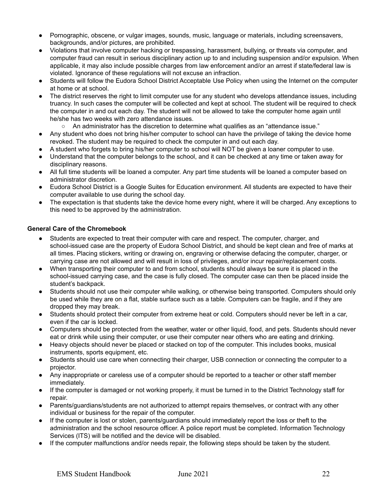- Pornographic, obscene, or vulgar images, sounds, music, language or materials, including screensavers, backgrounds, and/or pictures, are prohibited.
- Violations that involve computer hacking or trespassing, harassment, bullying, or threats via computer, and computer fraud can result in serious disciplinary action up to and including suspension and/or expulsion. When applicable, it may also include possible charges from law enforcement and/or an arrest if state/federal law is violated. Ignorance of these regulations will not excuse an infraction.
- Students will follow the Eudora School District Acceptable Use Policy when using the Internet on the computer at home or at school.
- The district reserves the right to limit computer use for any student who develops attendance issues, including truancy. In such cases the computer will be collected and kept at school. The student will be required to check the computer in and out each day. The student will not be allowed to take the computer home again until he/she has two weeks with zero attendance issues.
	- An administrator has the discretion to determine what qualifies as an "attendance issue."
- Any student who does not bring his/her computer to school can have the privilege of taking the device home revoked. The student may be required to check the computer in and out each day.
- A student who forgets to bring his/her computer to school will NOT be given a loaner computer to use.
- Understand that the computer belongs to the school, and it can be checked at any time or taken away for disciplinary reasons.
- All full time students will be loaned a computer. Any part time students will be loaned a computer based on administrator discretion.
- Eudora School District is a Google Suites for Education environment. All students are expected to have their computer available to use during the school day.
- The expectation is that students take the device home every night, where it will be charged. Any exceptions to this need to be approved by the administration.

#### **General Care of the Chromebook**

- Students are expected to treat their computer with care and respect. The computer, charger, and school-issued case are the property of Eudora School District, and should be kept clean and free of marks at all times. Placing stickers, writing or drawing on, engraving or otherwise defacing the computer, charger, or carrying case are not allowed and will result in loss of privileges, and/or incur repair/replacement costs.
- When transporting their computer to and from school, students should always be sure it is placed in the school-issued carrying case, and the case is fully closed. The computer case can then be placed inside the student's backpack.
- Students should not use their computer while walking, or otherwise being transported. Computers should only be used while they are on a flat, stable surface such as a table. Computers can be fragile, and if they are dropped they may break.
- Students should protect their computer from extreme heat or cold. Computers should never be left in a car, even if the car is locked.
- Computers should be protected from the weather, water or other liquid, food, and pets. Students should never eat or drink while using their computer, or use their computer near others who are eating and drinking.
- Heavy objects should never be placed or stacked on top of the computer. This includes books, musical instruments, sports equipment, etc.
- Students should use care when connecting their charger, USB connection or connecting the computer to a projector.
- Any inappropriate or careless use of a computer should be reported to a teacher or other staff member immediately.
- If the computer is damaged or not working properly, it must be turned in to the District Technology staff for repair.
- Parents/guardians/students are not authorized to attempt repairs themselves, or contract with any other individual or business for the repair of the computer.
- If the computer is lost or stolen, parents/guardians should immediately report the loss or theft to the administration and the school resource officer. A police report must be completed. Information Technology Services (ITS) will be notified and the device will be disabled.
- If the computer malfunctions and/or needs repair, the following steps should be taken by the student.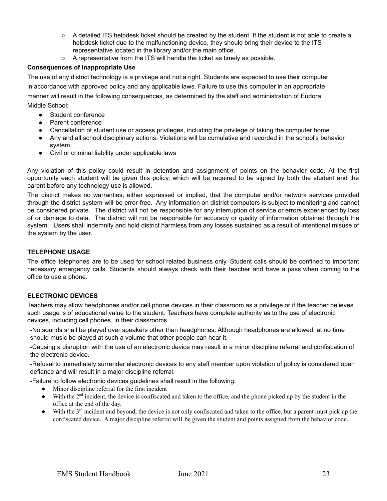- A detailed ITS helpdesk ticket should be created by the student. If the student is not able to create a helpdesk ticket due to the malfunctioning device, they should bring their device to the ITS representative located in the library and/or the main office.
- A representative from the ITS will handle the ticket as timely as possible.

#### **Consequences of Inappropriate Use**

The use of any district technology is a privilege and not a right. Students are expected to use their computer in accordance with approved policy and any applicable laws. Failure to use this computer in an appropriate manner will result in the following consequences, as determined by the staff and administration of Eudora Middle School:

- Student conference
- Parent conference
- Cancellation of student use or access privileges, including the privilege of taking the computer home
- Any and all school disciplinary actions. Violations will be cumulative and recorded in the school's behavior system.
- Civil or criminal liability under applicable laws

Any violation of this policy could result in detention and assignment of points on the behavior code. At the first opportunity each student will be given this policy, which will be required to be signed by both the student and the parent before any technology use is allowed.

The district makes no warranties; either expressed or implied, that the computer and/or network services provided through the district system will be error-free. Any information on district computers is subject to monitoring and cannot be considered private. The district will not be responsible for any interruption of service or errors experienced by loss of or damage to data. The district will not be responsible for accuracy or quality of information obtained through the system. Users shall indemnify and hold district harmless from any losses sustained as a result of intentional misuse of the system by the user.

#### <span id="page-22-0"></span>**TELEPHONE USAGE**

The office telephones are to be used for school related business only. Student calls should be confined to important necessary emergency calls. Students should always check with their teacher and have a pass when coming to the office to use a phone.

#### <span id="page-22-1"></span>**ELECTRONIC DEVICES**

Teachers may allow headphones and/or cell phone devices in their classroom as a privilege or if the teacher believes such usage is of educational value to the student. Teachers have complete authority as to the use of electronic devices, including cell phones, in their classrooms.

-No sounds shall be played over speakers other than headphones. Although headphones are allowed, at no time should music be played at such a volume that other people can hear it.

-Causing a disruption with the use of an electronic device may result in a minor discipline referral and confiscation of the electronic device.

-Refusal to immediately surrender electronic devices to any staff member upon violation of policy is considered open defiance and will result in a major discipline referral.

-Failure to follow electronic devices guidelines shall result in the following:

- Minor discipline referral for the first incident
- $\bullet$  With the 2<sup>nd</sup> incident, the device is confiscated and taken to the office, and the phone picked up by the student in the office at the end of the day.
- With the 3<sup>rd</sup> incident and beyond, the device is not only confiscated and taken to the office, but a parent must pick up the confiscated device. A major discipline referral will be given the student and points assigned from the behavior code.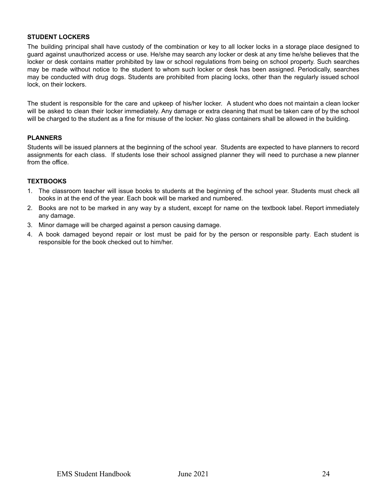#### <span id="page-23-0"></span>**STUDENT LOCKERS**

The building principal shall have custody of the combination or key to all locker locks in a storage place designed to guard against unauthorized access or use. He/she may search any locker or desk at any time he/she believes that the locker or desk contains matter prohibited by law or school regulations from being on school property. Such searches may be made without notice to the student to whom such locker or desk has been assigned. Periodically, searches may be conducted with drug dogs. Students are prohibited from placing locks, other than the regularly issued school lock, on their lockers.

The student is responsible for the care and upkeep of his/her locker. A student who does not maintain a clean locker will be asked to clean their locker immediately. Any damage or extra cleaning that must be taken care of by the school will be charged to the student as a fine for misuse of the locker. No glass containers shall be allowed in the building.

#### <span id="page-23-1"></span>**PLANNERS**

Students will be issued planners at the beginning of the school year. Students are expected to have planners to record assignments for each class. If students lose their school assigned planner they will need to purchase a new planner from the office.

#### <span id="page-23-2"></span>**TEXTBOOKS**

- 1. The classroom teacher will issue books to students at the beginning of the school year. Students must check all books in at the end of the year. Each book will be marked and numbered.
- 2. Books are not to be marked in any way by a student, except for name on the textbook label. Report immediately any damage.
- 3. Minor damage will be charged against a person causing damage.
- 4. A book damaged beyond repair or lost must be paid for by the person or responsible party. Each student is responsible for the book checked out to him/her.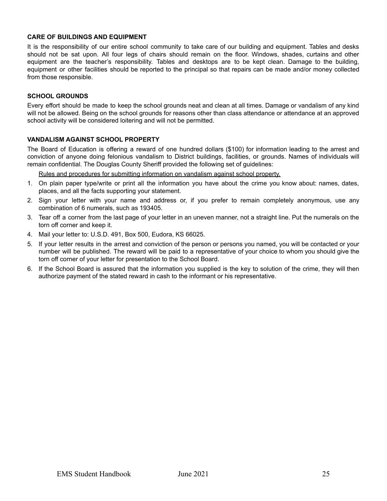#### <span id="page-24-0"></span>**CARE OF BUILDINGS AND EQUIPMENT**

It is the responsibility of our entire school community to take care of our building and equipment. Tables and desks should not be sat upon. All four legs of chairs should remain on the floor. Windows, shades, curtains and other equipment are the teacher's responsibility. Tables and desktops are to be kept clean. Damage to the building, equipment or other facilities should be reported to the principal so that repairs can be made and/or money collected from those responsible.

#### <span id="page-24-1"></span>**SCHOOL GROUNDS**

Every effort should be made to keep the school grounds neat and clean at all times. Damage or vandalism of any kind will not be allowed. Being on the school grounds for reasons other than class attendance or attendance at an approved school activity will be considered loitering and will not be permitted.

#### <span id="page-24-2"></span>**VANDALISM AGAINST SCHOOL PROPERTY**

The Board of Education is offering a reward of one hundred dollars (\$100) for information leading to the arrest and conviction of anyone doing felonious vandalism to District buildings, facilities, or grounds. Names of individuals will remain confidential. The Douglas County Sheriff provided the following set of guidelines:

Rules and procedures for submitting information on vandalism against school property.

- 1. On plain paper type/write or print all the information you have about the crime you know about: names, dates, places, and all the facts supporting your statement.
- 2. Sign your letter with your name and address or, if you prefer to remain completely anonymous, use any combination of 6 numerals, such as 193405.
- 3. Tear off a corner from the last page of your letter in an uneven manner, not a straight line. Put the numerals on the torn off corner and keep it.
- 4. Mail your letter to: U.S.D. 491, Box 500, Eudora, KS 66025.
- 5. If your letter results in the arrest and conviction of the person or persons you named, you will be contacted or your number will be published. The reward will be paid to a representative of your choice to whom you should give the torn off corner of your letter for presentation to the School Board.
- 6. If the School Board is assured that the information you supplied is the key to solution of the crime, they will then authorize payment of the stated reward in cash to the informant or his representative.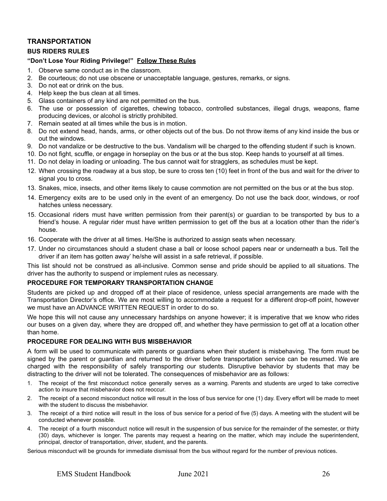#### <span id="page-25-0"></span>**TRANSPORTATION**

#### <span id="page-25-1"></span>**BUS RIDERS RULES**

#### **"Don't Lose Your Riding Privilege!" Follow These Rules**

- 1. Observe same conduct as in the classroom.
- 2. Be courteous; do not use obscene or unacceptable language, gestures, remarks, or signs.
- 3. Do not eat or drink on the bus.
- 4. Help keep the bus clean at all times.
- 5. Glass containers of any kind are not permitted on the bus.
- 6. The use or possession of cigarettes, chewing tobacco, controlled substances, illegal drugs, weapons, flame producing devices, or alcohol is strictly prohibited.
- 7. Remain seated at all times while the bus is in motion.
- 8. Do not extend head, hands, arms, or other objects out of the bus. Do not throw items of any kind inside the bus or out the windows.
- 9. Do not vandalize or be destructive to the bus. Vandalism will be charged to the offending student if such is known.
- 10. Do not fight, scuffle, or engage in horseplay on the bus or at the bus stop. Keep hands to yourself at all times.
- 11. Do not delay in loading or unloading. The bus cannot wait for stragglers, as schedules must be kept.
- 12. When crossing the roadway at a bus stop, be sure to cross ten (10) feet in front of the bus and wait for the driver to signal you to cross.
- 13. Snakes, mice, insects, and other items likely to cause commotion are not permitted on the bus or at the bus stop.
- 14. Emergency exits are to be used only in the event of an emergency. Do not use the back door, windows, or roof hatches unless necessary.
- 15. Occasional riders must have written permission from their parent(s) or guardian to be transported by bus to a friend's house. A regular rider must have written permission to get off the bus at a location other than the rider's house.
- 16. Cooperate with the driver at all times. He/She is authorized to assign seats when necessary.
- 17. Under no circumstances should a student chase a ball or loose school papers near or underneath a bus. Tell the driver if an item has gotten away' he/she will assist in a safe retrieval, if possible.

This list should not be construed as all-inclusive. Common sense and pride should be applied to all situations. The driver has the authority to suspend or implement rules as necessary.

#### <span id="page-25-2"></span>**PROCEDURE FOR TEMPORARY TRANSPORTATION CHANGE**

Students are picked up and dropped off at their place of residence, unless special arrangements are made with the Transportation Director's office. We are most willing to accommodate a request for a different drop-off point, however we must have an ADVANCE WRITTEN REQUEST in order to do so.

We hope this will not cause any unnecessary hardships on anyone however; it is imperative that we know who rides our buses on a given day, where they are dropped off, and whether they have permission to get off at a location other than home.

#### <span id="page-25-3"></span>**PROCEDURE FOR DEALING WITH BUS MISBEHAVIOR**

A form will be used to communicate with parents or guardians when their student is misbehaving. The form must be signed by the parent or guardian and returned to the driver before transportation service can be resumed. We are charged with the responsibility of safely transporting our students. Disruptive behavior by students that may be distracting to the driver will not be tolerated. The consequences of misbehavior are as follows:

- 1. The receipt of the first misconduct notice generally serves as a warning. Parents and students are urged to take corrective action to insure that misbehavior does not reoccur.
- 2. The receipt of a second misconduct notice will result in the loss of bus service for one (1) day. Every effort will be made to meet with the student to discuss the misbehavior.
- 3. The receipt of a third notice will result in the loss of bus service for a period of five (5) days. A meeting with the student will be conducted whenever possible.
- 4. The receipt of a fourth misconduct notice will result in the suspension of bus service for the remainder of the semester, or thirty (30) days, whichever is longer. The parents may request a hearing on the matter, which may include the superintendent, principal, director of transportation, driver, student, and the parents.

Serious misconduct will be grounds for immediate dismissal from the bus without regard for the number of previous notices.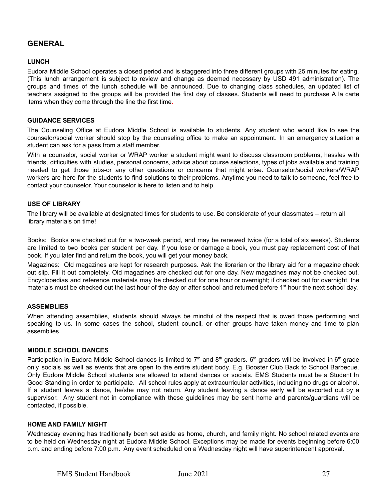#### <span id="page-26-0"></span>**GENERAL**

#### <span id="page-26-1"></span>**LUNCH**

Eudora Middle School operates a closed period and is staggered into three different groups with 25 minutes for eating. (This lunch arrangement is subject to review and change as deemed necessary by USD 491 administration). The groups and times of the lunch schedule will be announced. Due to changing class schedules, an updated list of teachers assigned to the groups will be provided the first day of classes. Students will need to purchase A la carte items when they come through the line the first time.

#### <span id="page-26-2"></span>**GUIDANCE SERVICES**

The Counseling Office at Eudora Middle School is available to students. Any student who would like to see the counselor/social worker should stop by the counseling office to make an appointment. In an emergency situation a student can ask for a pass from a staff member.

With a counselor, social worker or WRAP worker a student might want to discuss classroom problems, hassles with friends, difficulties with studies, personal concerns, advice about course selections, types of jobs available and training needed to get those jobs-or any other questions or concerns that might arise. Counselor/social workers/WRAP workers are here for the students to find solutions to their problems. Anytime you need to talk to someone, feel free to contact your counselor. Your counselor is here to listen and to help.

#### <span id="page-26-3"></span>**USE OF LIBRARY**

The library will be available at designated times for students to use. Be considerate of your classmates – return all library materials on time!

Books: Books are checked out for a two-week period, and may be renewed twice (for a total of six weeks). Students are limited to two books per student per day. If you lose or damage a book, you must pay replacement cost of that book. If you later find and return the book, you will get your money back.

Magazines: Old magazines are kept for research purposes. Ask the librarian or the library aid for a magazine check out slip. Fill it out completely. Old magazines are checked out for one day. New magazines may not be checked out. Encyclopedias and reference materials may be checked out for one hour or overnight; if checked out for overnight, the materials must be checked out the last hour of the day or after school and returned before 1<sup>st</sup> hour the next school day.

#### <span id="page-26-4"></span>**ASSEMBLIES**

When attending assemblies, students should always be mindful of the respect that is owed those performing and speaking to us. In some cases the school, student council, or other groups have taken money and time to plan assemblies.

#### <span id="page-26-5"></span>**MIDDLE SCHOOL DANCES**

Participation in Eudora Middle School dances is limited to  $7<sup>th</sup>$  and  $8<sup>th</sup>$  graders. 6<sup>th</sup> graders will be involved in 6<sup>th</sup> grade only socials as well as events that are open to the entire student body. E.g. Booster Club Back to School Barbecue. Only Eudora Middle School students are allowed to attend dances or socials. EMS Students must be a Student In Good Standing in order to participate. All school rules apply at extracurricular activities, including no drugs or alcohol. If a student leaves a dance, he/she may not return. Any student leaving a dance early will be escorted out by a supervisor. Any student not in compliance with these guidelines may be sent home and parents/guardians will be contacted, if possible.

#### <span id="page-26-6"></span>**HOME AND FAMILY NIGHT**

Wednesday evening has traditionally been set aside as home, church, and family night. No school related events are to be held on Wednesday night at Eudora Middle School. Exceptions may be made for events beginning before 6:00 p.m. and ending before 7:00 p.m. Any event scheduled on a Wednesday night will have superintendent approval.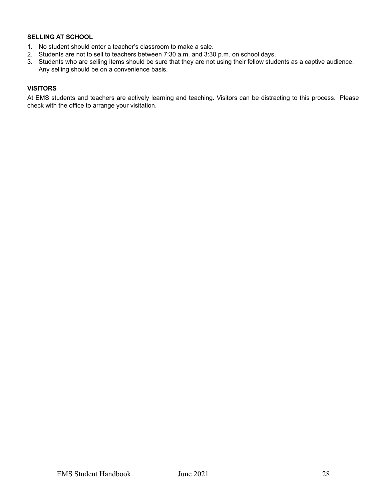#### <span id="page-27-0"></span>**SELLING AT SCHOOL**

- 1. No student should enter a teacher's classroom to make a sale.
- 2. Students are not to sell to teachers between 7:30 a.m. and 3:30 p.m. on school days.
- 3. Students who are selling items should be sure that they are not using their fellow students as a captive audience. Any selling should be on a convenience basis.

#### <span id="page-27-1"></span>**VISITORS**

At EMS students and teachers are actively learning and teaching. Visitors can be distracting to this process. Please check with the office to arrange your visitation.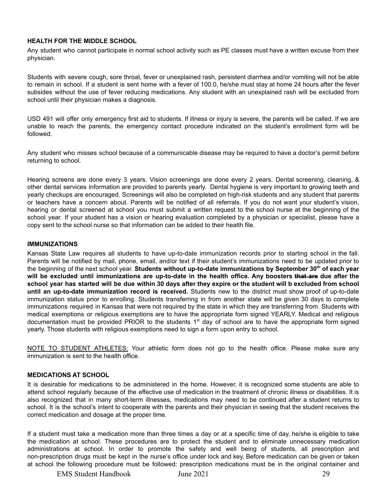#### <span id="page-28-0"></span>**HEALTH FOR THE MIDDLE SCHOOL**

Any student who cannot participate in normal school activity such as PE classes must have a written excuse from their physician.

Students with severe cough, sore throat, fever or unexplained rash, persistent diarrhea and/or vomiting will not be able to remain in school. If a student is sent home with a fever of 100.0, he/she must stay at home 24 hours after the fever subsides without the use of fever reducing medications. Any student with an unexplained rash will be excluded from school until their physician makes a diagnosis.

USD 491 will offer only emergency first aid to students. If illness or injury is severe, the parents will be called. If we are unable to reach the parents, the emergency contact procedure indicated on the student's enrollment form will be followed.

Any student who misses school because of a communicable disease may be required to have a doctor's permit before returning to school.

Hearing screens are done every 3 years. Vision screenings are done every 2 years. Dental screening, cleaning, & other dental services information are provided to parents yearly. Dental hygiene is very important to growing teeth and yearly checkups are encouraged. Screenings will also be completed on high-risk students and any student that parents or teachers have a concern about. Parents will be notified of all referrals. If you do not want your student's vision, hearing or dental screened at school you must submit a written request to the school nurse at the beginning of the school year. If your student has a vision or hearing evaluation completed by a physician or specialist, please have a copy sent to the school nurse so that information can be added to their health file.

#### <span id="page-28-1"></span>**IMMUNIZATIONS**

Kansas State Law requires all students to have up-to-date immunization records prior to starting school in the fall. Parents will be notified by mail, phone, email, and/or text if their student's immunizations need to be updated prior to the beginning of the next school year. **Students without up-to-date immunizations by September 30 th of each year** will be excluded until immunizations are up-to-date in the health office. Any boosters that are due after the school year has started will be due within 30 days after they expire or the student will b excluded from school **until an up-to-date immunization record is received.** Students new to the district must show proof of up-to-date immunization status prior to enrolling. Students transferring in from another state will be given 30 days to complete immunizations required in Kansas that were not required by the state in which they are transferring from. Students with medical exemptions or religious exemptions are to have the appropriate form signed YEARLY. Medical and religious documentation must be provided PRIOR to the students 1<sup>st</sup> day of school are to have the appropriate form signed yearly. Those students with religious exemptions need to sign a form upon entry to school.

NOTE TO STUDENT ATHLETES: Your athletic form does not go to the health office. Please make sure any immunization is sent to the health office.

#### <span id="page-28-2"></span>**MEDICATIONS AT SCHOOL**

It is desirable for medications to be administered in the home. However, it is recognized some students are able to attend school regularly because of the effective use of medication in the treatment of chronic illness or disabilities. It is also recognized that in many short-term illnesses, medications may need to be continued after a student returns to school. It is the school's intent to cooperate with the parents and their physician in seeing that the student receives the correct medication and dosage at the proper time.

If a student must take a medication more than three times a day or at a specific time of day, he/she is eligible to take the medication at school. These procedures are to protect the student and to eliminate unnecessary medication administrations at school. In order to promote the safety and well being of students, all prescription and non-prescription drugs must be kept in the nurse's office under lock and key. Before medication can be given or taken at school the following procedure must be followed: prescription medications must be in the original container and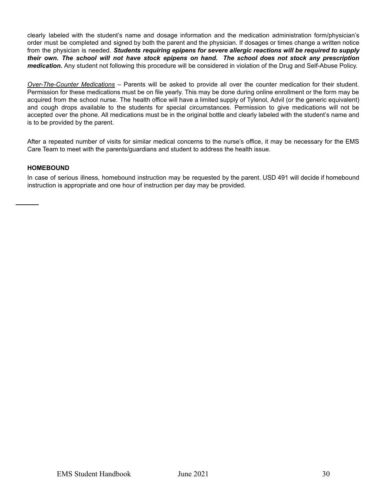clearly labeled with the student's name and dosage information and the medication administration form/physician's order must be completed and signed by both the parent and the physician. If dosages or times change a written notice from the physician is needed. *Students requiring epipens for severe allergic reactions will be required to supply* their own. The school will not have stock epipens on hand. The school does not stock any prescription *medication.* Any student not following this procedure will be considered in violation of the Drug and Self-Abuse Policy.

*Over-The-Counter Medications* – Parents will be asked to provide all over the counter medication for their student. Permission for these medications must be on file yearly. This may be done during online enrollment or the form may be acquired from the school nurse. The health office will have a limited supply of Tylenol, Advil (or the generic equivalent) and cough drops available to the students for special circumstances. Permission to give medications will not be accepted over the phone. All medications must be in the original bottle and clearly labeled with the student's name and is to be provided by the parent.

After a repeated number of visits for similar medical concerns to the nurse's office, it may be necessary for the EMS Care Team to meet with the parents/guardians and student to address the health issue.

#### <span id="page-29-0"></span>**HOMEBOUND**

In case of serious illness, homebound instruction may be requested by the parent. USD 491 will decide if homebound instruction is appropriate and one hour of instruction per day may be provided.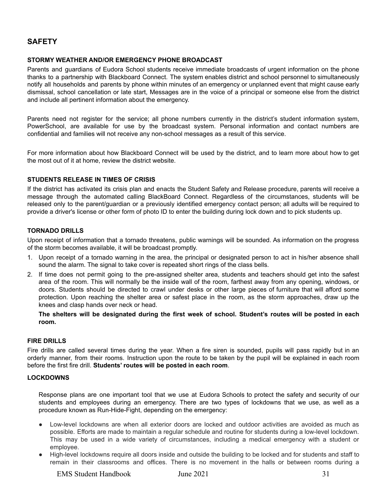#### <span id="page-30-0"></span>**SAFETY**

#### <span id="page-30-1"></span>**STORMY WEATHER AND/OR EMERGENCY PHONE BROADCAST**

Parents and guardians of Eudora School students receive immediate broadcasts of urgent information on the phone thanks to a partnership with Blackboard Connect. The system enables district and school personnel to simultaneously notify all households and parents by phone within minutes of an emergency or unplanned event that might cause early dismissal, school cancellation or late start, Messages are in the voice of a principal or someone else from the district and include all pertinent information about the emergency.

Parents need not register for the service; all phone numbers currently in the district's student information system, PowerSchool, are available for use by the broadcast system. Personal information and contact numbers are confidential and families will not receive any non-school messages as a result of this service.

For more information about how Blackboard Connect will be used by the district, and to learn more about how to get the most out of it at home, review the district website.

#### <span id="page-30-2"></span>**STUDENTS RELEASE IN TIMES OF CRISIS**

If the district has activated its crisis plan and enacts the Student Safety and Release procedure, parents will receive a message through the automated calling BlackBoard Connect. Regardless of the circumstances, students will be released only to the parent/guardian or a previously identified emergency contact person; all adults will be required to provide a driver's license or other form of photo ID to enter the building during lock down and to pick students up.

#### <span id="page-30-3"></span>**TORNADO DRILLS**

Upon receipt of information that a tornado threatens, public warnings will be sounded. As information on the progress of the storm becomes available, it will be broadcast promptly.

- 1. Upon receipt of a tornado warning in the area, the principal or designated person to act in his/her absence shall sound the alarm. The signal to take cover is repeated short rings of the class bells.
- 2. If time does not permit going to the pre-assigned shelter area, students and teachers should get into the safest area of the room. This will normally be the inside wall of the room, farthest away from any opening, windows, or doors. Students should be directed to crawl under desks or other large pieces of furniture that will afford some protection. Upon reaching the shelter area or safest place in the room, as the storm approaches, draw up the knees and clasp hands over neck or head.

The shelters will be designated during the first week of school. Student's routes will be posted in each **room.**

#### <span id="page-30-4"></span>**FIRE DRILLS**

Fire drills are called several times during the year. When a fire siren is sounded, pupils will pass rapidly but in an orderly manner, from their rooms. Instruction upon the route to be taken by the pupil will be explained in each room before the first fire drill. **Students' routes will be posted in each room**.

#### <span id="page-30-5"></span>**LOCKDOWNS**

Response plans are one important tool that we use at Eudora Schools to protect the safety and security of our students and employees during an emergency. There are two types of lockdowns that we use, as well as a procedure known as Run-Hide-Fight, depending on the emergency:

- Low-level lockdowns are when all exterior doors are locked and outdoor activities are avoided as much as possible. Efforts are made to maintain a regular schedule and routine for students during a low-level lockdown. This may be used in a wide variety of circumstances, including a medical emergency with a student or employee.
- High-level lockdowns require all doors inside and outside the building to be locked and for students and staff to remain in their classrooms and offices. There is no movement in the halls or between rooms during a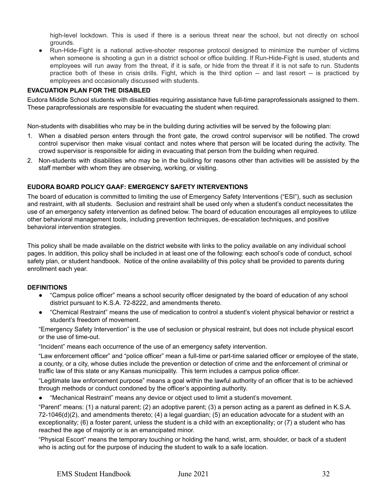high-level lockdown. This is used if there is a serious threat near the school, but not directly on school grounds.

● Run-Hide-Fight is a national active-shooter response protocol designed to minimize the number of victims when someone is shooting a gun in a district school or office building. If Run-Hide-Fight is used, students and employees will run away from the threat, if it is safe, or hide from the threat if it is not safe to run. Students practice both of these in crisis drills. Fight, which is the third option -- and last resort -- is practiced by employees and occasionally discussed with students.

#### <span id="page-31-0"></span>**EVACUATION PLAN FOR THE DISABLED**

Eudora Middle School students with disabilities requiring assistance have full-time paraprofessionals assigned to them. These paraprofessionals are responsible for evacuating the student when required.

Non-students with disabilities who may be in the building during activities will be served by the following plan:

- 1. When a disabled person enters through the front gate, the crowd control supervisor will be notified. The crowd control supervisor then make visual contact and notes where that person will be located during the activity. The crowd supervisor is responsible for aiding in evacuating that person from the building when required.
- 2. Non-students with disabilities who may be in the building for reasons other than activities will be assisted by the staff member with whom they are observing, working, or visiting.

#### <span id="page-31-1"></span>**EUDORA BOARD POLICY GAAF: EMERGENCY SAFETY INTERVENTIONS**

The board of education is committed to limiting the use of Emergency Safety Interventions ("ESI"), such as seclusion and restraint, with all students. Seclusion and restraint shall be used only when a student's conduct necessitates the use of an emergency safety intervention as defined below. The board of education encourages all employees to utilize other behavioral management tools, including prevention techniques, de-escalation techniques, and positive behavioral intervention strategies.

This policy shall be made available on the district website with links to the policy available on any individual school pages. In addition, this policy shall be included in at least one of the following: each school's code of conduct, school safety plan, or student handbook. Notice of the online availability of this policy shall be provided to parents during enrollment each year.

#### **DEFINITIONS**

- "Campus police officer" means a school security officer designated by the board of education of any school district pursuant to K.S.A. 72-8222, and amendments thereto.
- "Chemical Restraint" means the use of medication to control a student's violent physical behavior or restrict a student's freedom of movement.

"Emergency Safety Intervention" is the use of seclusion or physical restraint, but does not include physical escort or the use of time-out.

"Incident" means each occurrence of the use of an emergency safety intervention.

"Law enforcement officer" and "police officer" mean a full-time or part-time salaried officer or employee of the state, a county, or a city, whose duties include the prevention or detection of crime and the enforcement of criminal or traffic law of this state or any Kansas municipality. This term includes a campus police officer.

"Legitimate law enforcement purpose" means a goal within the lawful authority of an officer that is to be achieved through methods or conduct condoned by the officer's appointing authority.

● "Mechanical Restraint" means any device or object used to limit a student's movement.

"Parent" means: (1) a natural parent; (2) an adoptive parent; (3) a person acting as a parent as defined in K.S.A. 72-1046(d)(2), and amendments thereto; (4) a legal guardian; (5) an education advocate for a student with an exceptionality; (6) a foster parent, unless the student is a child with an exceptionality; or (7) a student who has reached the age of majority or is an emancipated minor.

"Physical Escort" means the temporary touching or holding the hand, wrist, arm, shoulder, or back of a student who is acting out for the purpose of inducing the student to walk to a safe location.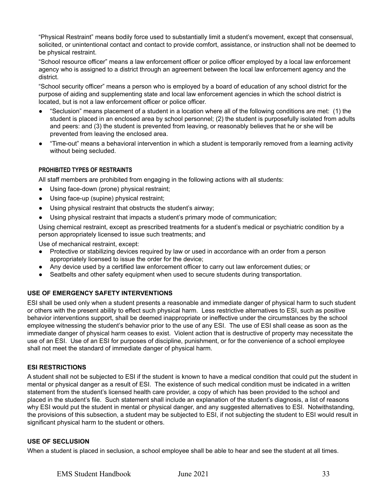"Physical Restraint" means bodily force used to substantially limit a student's movement, except that consensual, solicited, or unintentional contact and contact to provide comfort, assistance, or instruction shall not be deemed to be physical restraint.

"School resource officer" means a law enforcement officer or police officer employed by a local law enforcement agency who is assigned to a district through an agreement between the local law enforcement agency and the district.

"School security officer" means a person who is employed by a board of education of any school district for the purpose of aiding and supplementing state and local law enforcement agencies in which the school district is located, but is not a law enforcement officer or police officer.

- "Seclusion" means placement of a student in a location where all of the following conditions are met: (1) the student is placed in an enclosed area by school personnel; (2) the student is purposefully isolated from adults and peers: and (3) the student is prevented from leaving, or reasonably believes that he or she will be prevented from leaving the enclosed area.
- "Time-out" means a behavioral intervention in which a student is temporarily removed from a learning activity without being secluded.

#### **PROHIBITED TYPES OF RESTRAINTS**

All staff members are prohibited from engaging in the following actions with all students:

- Using face-down (prone) physical restraint;
- Using face-up (supine) physical restraint;
- Using physical restraint that obstructs the student's airway;
- Using physical restraint that impacts a student's primary mode of communication;

Using chemical restraint, except as prescribed treatments for a student's medical or psychiatric condition by a person appropriately licensed to issue such treatments; and

Use of mechanical restraint, except:

- Protective or stabilizing devices required by law or used in accordance with an order from a person appropriately licensed to issue the order for the device;
- Any device used by a certified law enforcement officer to carry out law enforcement duties; or
- Seatbelts and other safety equipment when used to secure students during transportation.

#### <span id="page-32-0"></span>**USE OF EMERGENCY SAFETY INTERVENTIONS**

ESI shall be used only when a student presents a reasonable and immediate danger of physical harm to such student or others with the present ability to effect such physical harm. Less restrictive alternatives to ESI, such as positive behavior interventions support, shall be deemed inappropriate or ineffective under the circumstances by the school employee witnessing the student's behavior prior to the use of any ESI. The use of ESI shall cease as soon as the immediate danger of physical harm ceases to exist. Violent action that is destructive of property may necessitate the use of an ESI. Use of an ESI for purposes of discipline, punishment, or for the convenience of a school employee shall not meet the standard of immediate danger of physical harm.

#### **ESI RESTRICTIONS**

A student shall not be subjected to ESI if the student is known to have a medical condition that could put the student in mental or physical danger as a result of ESI. The existence of such medical condition must be indicated in a written statement from the student's licensed health care provider, a copy of which has been provided to the school and placed in the student's file. Such statement shall include an explanation of the student's diagnosis, a list of reasons why ESI would put the student in mental or physical danger, and any suggested alternatives to ESI. Notwithstanding, the provisions of this subsection, a student may be subjected to ESI, if not subjecting the student to ESI would result in significant physical harm to the student or others.

#### **USE OF SECLUSION**

When a student is placed in seclusion, a school employee shall be able to hear and see the student at all times.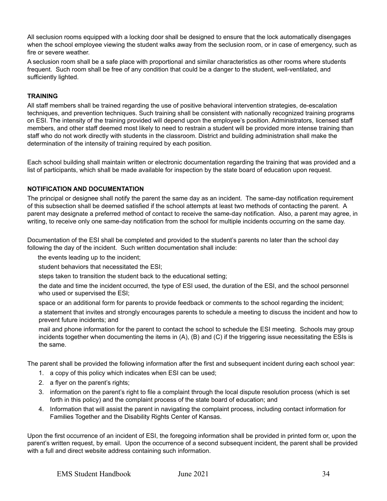All seclusion rooms equipped with a locking door shall be designed to ensure that the lock automatically disengages when the school employee viewing the student walks away from the seclusion room, or in case of emergency, such as fire or severe weather.

A seclusion room shall be a safe place with proportional and similar characteristics as other rooms where students frequent. Such room shall be free of any condition that could be a danger to the student, well-ventilated, and sufficiently lighted.

#### **TRAINING**

All staff members shall be trained regarding the use of positive behavioral intervention strategies, de-escalation techniques, and prevention techniques. Such training shall be consistent with nationally recognized training programs on ESI. The intensity of the training provided will depend upon the employee's position. Administrators, licensed staff members, and other staff deemed most likely to need to restrain a student will be provided more intense training than staff who do not work directly with students in the classroom. District and building administration shall make the determination of the intensity of training required by each position.

Each school building shall maintain written or electronic documentation regarding the training that was provided and a list of participants, which shall be made available for inspection by the state board of education upon request.

#### **NOTIFICATION AND DOCUMENTATION**

The principal or designee shall notify the parent the same day as an incident. The same-day notification requirement of this subsection shall be deemed satisfied if the school attempts at least two methods of contacting the parent. A parent may designate a preferred method of contact to receive the same-day notification. Also, a parent may agree, in writing, to receive only one same-day notification from the school for multiple incidents occurring on the same day.

Documentation of the ESI shall be completed and provided to the student's parents no later than the school day following the day of the incident. Such written documentation shall include:

the events leading up to the incident;

student behaviors that necessitated the ESI;

steps taken to transition the student back to the educational setting;

the date and time the incident occurred, the type of ESI used, the duration of the ESI, and the school personnel who used or supervised the ESI;

space or an additional form for parents to provide feedback or comments to the school regarding the incident;

a statement that invites and strongly encourages parents to schedule a meeting to discuss the incident and how to prevent future incidents; and

mail and phone information for the parent to contact the school to schedule the ESI meeting. Schools may group incidents together when documenting the items in (A), (B) and (C) if the triggering issue necessitating the ESIs is the same.

The parent shall be provided the following information after the first and subsequent incident during each school year:

- 1. a copy of this policy which indicates when ESI can be used;
- 2. a flyer on the parent's rights;
- 3. information on the parent's right to file a complaint through the local dispute resolution process (which is set forth in this policy) and the complaint process of the state board of education; and
- 4. Information that will assist the parent in navigating the complaint process, including contact information for Families Together and the Disability Rights Center of Kansas.

Upon the first occurrence of an incident of ESI, the foregoing information shall be provided in printed form or, upon the parent's written request, by email. Upon the occurrence of a second subsequent incident, the parent shall be provided with a full and direct website address containing such information.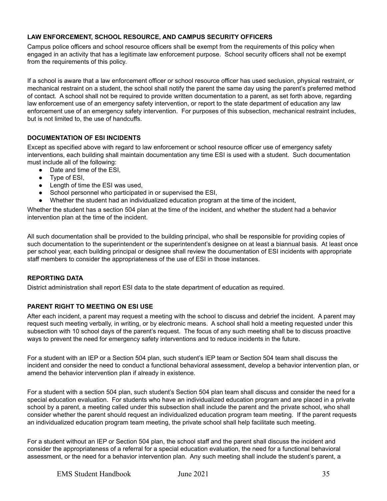#### **LAW ENFORCEMENT, SCHOOL RESOURCE, AND CAMPUS SECURITY OFFICERS**

Campus police officers and school resource officers shall be exempt from the requirements of this policy when engaged in an activity that has a legitimate law enforcement purpose. School security officers shall not be exempt from the requirements of this policy.

If a school is aware that a law enforcement officer or school resource officer has used seclusion, physical restraint, or mechanical restraint on a student, the school shall notify the parent the same day using the parent's preferred method of contact. A school shall not be required to provide written documentation to a parent, as set forth above, regarding law enforcement use of an emergency safety intervention, or report to the state department of education any law enforcement use of an emergency safety intervention. For purposes of this subsection, mechanical restraint includes, but is not limited to, the use of handcuffs.

#### **DOCUMENTATION OF ESI INCIDENTS**

Except as specified above with regard to law enforcement or school resource officer use of emergency safety interventions, each building shall maintain documentation any time ESI is used with a student. Such documentation must include all of the following:

- Date and time of the ESI,
- Type of ESI,
- Length of time the ESI was used,
- School personnel who participated in or supervised the ESI,
- Whether the student had an individualized education program at the time of the incident,

Whether the student has a section 504 plan at the time of the incident, and whether the student had a behavior intervention plan at the time of the incident.

All such documentation shall be provided to the building principal, who shall be responsible for providing copies of such documentation to the superintendent or the superintendent's designee on at least a biannual basis. At least once per school year, each building principal or designee shall review the documentation of ESI incidents with appropriate staff members to consider the appropriateness of the use of ESI in those instances.

#### **REPORTING DATA**

District administration shall report ESI data to the state department of education as required.

#### **PARENT RIGHT TO MEETING ON ESI USE**

After each incident, a parent may request a meeting with the school to discuss and debrief the incident. A parent may request such meeting verbally, in writing, or by electronic means. A school shall hold a meeting requested under this subsection with 10 school days of the parent's request. The focus of any such meeting shall be to discuss proactive ways to prevent the need for emergency safety interventions and to reduce incidents in the future.

For a student with an IEP or a Section 504 plan, such student's IEP team or Section 504 team shall discuss the incident and consider the need to conduct a functional behavioral assessment, develop a behavior intervention plan, or amend the behavior intervention plan if already in existence.

For a student with a section 504 plan, such student's Section 504 plan team shall discuss and consider the need for a special education evaluation. For students who have an individualized education program and are placed in a private school by a parent, a meeting called under this subsection shall include the parent and the private school, who shall consider whether the parent should request an individualized education program team meeting. If the parent requests an individualized education program team meeting, the private school shall help facilitate such meeting.

For a student without an IEP or Section 504 plan, the school staff and the parent shall discuss the incident and consider the appropriateness of a referral for a special education evaluation, the need for a functional behavioral assessment, or the need for a behavior intervention plan. Any such meeting shall include the student's parent, a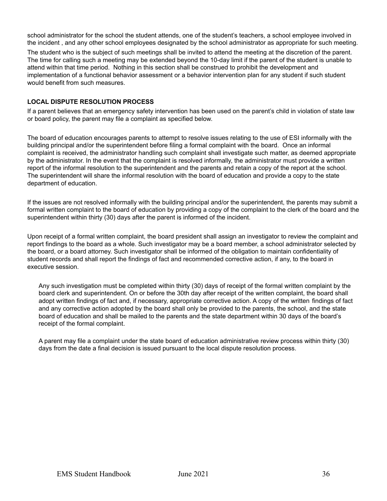school administrator for the school the student attends, one of the student's teachers, a school employee involved in the incident , and any other school employees designated by the school administrator as appropriate for such meeting.

The student who is the subject of such meetings shall be invited to attend the meeting at the discretion of the parent. The time for calling such a meeting may be extended beyond the 10-day limit if the parent of the student is unable to attend within that time period. Nothing in this section shall be construed to prohibit the development and implementation of a functional behavior assessment or a behavior intervention plan for any student if such student would benefit from such measures.

#### **LOCAL DISPUTE RESOLUTION PROCESS**

If a parent believes that an emergency safety intervention has been used on the parent's child in violation of state law or board policy, the parent may file a complaint as specified below.

The board of education encourages parents to attempt to resolve issues relating to the use of ESI informally with the building principal and/or the superintendent before filing a formal complaint with the board. Once an informal complaint is received, the administrator handling such complaint shall investigate such matter, as deemed appropriate by the administrator. In the event that the complaint is resolved informally, the administrator must provide a written report of the informal resolution to the superintendent and the parents and retain a copy of the report at the school. The superintendent will share the informal resolution with the board of education and provide a copy to the state department of education.

If the issues are not resolved informally with the building principal and/or the superintendent, the parents may submit a formal written complaint to the board of education by providing a copy of the complaint to the clerk of the board and the superintendent within thirty (30) days after the parent is informed of the incident.

Upon receipt of a formal written complaint, the board president shall assign an investigator to review the complaint and report findings to the board as a whole. Such investigator may be a board member, a school administrator selected by the board, or a board attorney. Such investigator shall be informed of the obligation to maintain confidentiality of student records and shall report the findings of fact and recommended corrective action, if any, to the board in executive session.

Any such investigation must be completed within thirty (30) days of receipt of the formal written complaint by the board clerk and superintendent. On or before the 30th day after receipt of the written complaint, the board shall adopt written findings of fact and, if necessary, appropriate corrective action. A copy of the written findings of fact and any corrective action adopted by the board shall only be provided to the parents, the school, and the state board of education and shall be mailed to the parents and the state department within 30 days of the board's receipt of the formal complaint.

A parent may file a complaint under the state board of education administrative review process within thirty (30) days from the date a final decision is issued pursuant to the local dispute resolution process.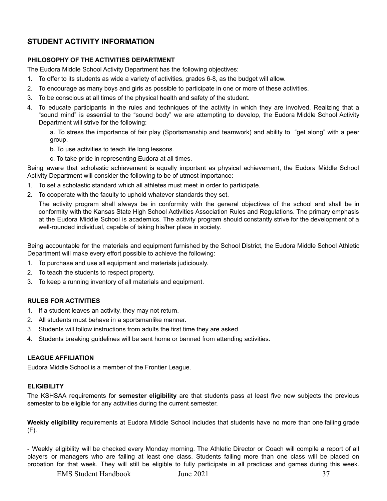#### <span id="page-36-0"></span>**STUDENT ACTIVITY INFORMATION**

#### <span id="page-36-1"></span>**PHILOSOPHY OF THE ACTIVITIES DEPARTMENT**

The Eudora Middle School Activity Department has the following objectives:

- 1. To offer to its students as wide a variety of activities, grades 6-8, as the budget will allow.
- 2. To encourage as many boys and girls as possible to participate in one or more of these activities.
- 3. To be conscious at all times of the physical health and safety of the student.
- 4. To educate participants in the rules and techniques of the activity in which they are involved. Realizing that a "sound mind" is essential to the "sound body" we are attempting to develop, the Eudora Middle School Activity Department will strive for the following:

a. To stress the importance of fair play (Sportsmanship and teamwork) and ability to "get along" with a peer group.

- b. To use activities to teach life long lessons.
- c. To take pride in representing Eudora at all times.

Being aware that scholastic achievement is equally important as physical achievement, the Eudora Middle School Activity Department will consider the following to be of utmost importance:

- 1. To set a scholastic standard which all athletes must meet in order to participate.
- 2. To cooperate with the faculty to uphold whatever standards they set.

The activity program shall always be in conformity with the general objectives of the school and shall be in conformity with the Kansas State High School Activities Association Rules and Regulations. The primary emphasis at the Eudora Middle School is academics. The activity program should constantly strive for the development of a well-rounded individual, capable of taking his/her place in society.

Being accountable for the materials and equipment furnished by the School District, the Eudora Middle School Athletic Department will make every effort possible to achieve the following:

- 1. To purchase and use all equipment and materials judiciously.
- 2. To teach the students to respect property.
- 3. To keep a running inventory of all materials and equipment.

#### <span id="page-36-2"></span>**RULES FOR ACTIVITIES**

- 1. If a student leaves an activity, they may not return.
- 2. All students must behave in a sportsmanlike manner.
- 3. Students will follow instructions from adults the first time they are asked.
- 4. Students breaking guidelines will be sent home or banned from attending activities.

#### <span id="page-36-3"></span>**LEAGUE AFFILIATION**

Eudora Middle School is a member of the Frontier League.

#### <span id="page-36-4"></span>**ELIGIBILITY**

The KSHSAA requirements for **semester eligibility** are that students pass at least five new subjects the previous semester to be eligible for any activities during the current semester.

**Weekly eligibility** requirements at Eudora Middle School includes that students have no more than one failing grade (F).

- Weekly eligibility will be checked every Monday morning. The Athletic Director or Coach will compile a report of all players or managers who are failing at least one class. Students failing more than one class will be placed on probation for that week. They will still be eligible to fully participate in all practices and games during this week.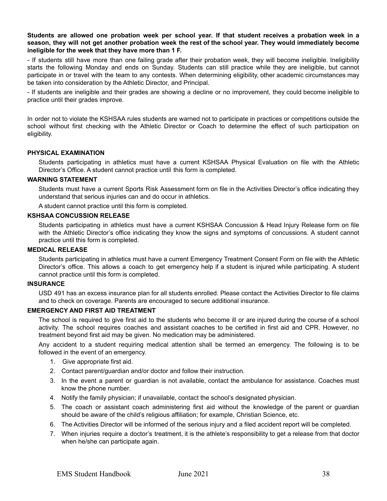Students are allowed one probation week per school year. If that student receives a probation week in a season, they will not get another probation week the rest of the school year. They would immediately become **ineligible for the week that they have more than 1 F.**

- If students still have more than one failing grade after their probation week, they will become ineligible. Ineligibility starts the following Monday and ends on Sunday. Students can still practice while they are ineligible, but cannot participate in or travel with the team to any contests. When determining eligibility, other academic circumstances may be taken into consideration by the Athletic Director, and Principal.

- If students are ineligible and their grades are showing a decline or no improvement, they could become ineligible to practice until their grades improve.

In order not to violate the KSHSAA rules students are warned not to participate in practices or competitions outside the school without first checking with the Athletic Director or Coach to determine the effect of such participation on eligibility.

#### <span id="page-37-0"></span>**PHYSICAL EXAMINATION**

Students participating in athletics must have a current KSHSAA Physical Evaluation on file with the Athletic Director's Office. A student cannot practice until this form is completed.

#### <span id="page-37-1"></span>**WARNING STATEMENT**

Students must have a current Sports Risk Assessment form on file in the Activities Director's office indicating they understand that serious injuries can and do occur in athletics.

A student cannot practice until this form is completed.

#### <span id="page-37-2"></span>**KSHSAA CONCUSSION RELEASE**

Students participating in athletics must have a current KSHSAA Concussion & Head Injury Release form on file with the Athletic Director's office indicating they know the signs and symptoms of concussions. A student cannot practice until this form is completed.

#### <span id="page-37-3"></span>**MEDICAL RELEASE**

Students participating in athletics must have a current Emergency Treatment Consent Form on file with the Athletic Director's office. This allows a coach to get emergency help if a student is injured while participating. A student cannot practice until this form is completed.

#### <span id="page-37-4"></span>**INSURANCE**

USD 491 has an excess insurance plan for all students enrolled. Please contact the Activities Director to file claims and to check on coverage. Parents are encouraged to secure additional insurance.

#### <span id="page-37-5"></span>**EMERGENCY AND FIRST AID TREATMENT**

The school is required to give first aid to the students who become ill or are injured during the course of a school activity. The school requires coaches and assistant coaches to be certified in first aid and CPR. However, no treatment beyond first aid may be given. No medication may be administered.

Any accident to a student requiring medical attention shall be termed an emergency. The following is to be followed in the event of an emergency.

- 1. Give appropriate first aid.
- 2. Contact parent/guardian and/or doctor and follow their instruction.
- 3. In the event a parent or guardian is not available, contact the ambulance for assistance. Coaches must know the phone number.
- 4. Notify the family physician; if unavailable, contact the school's designated physician.
- 5. The coach or assistant coach administering first aid without the knowledge of the parent or guardian should be aware of the child's religious affiliation; for example, Christian Science, etc.
- 6. The Activities Director will be informed of the serious injury and a filed accident report will be completed.
- 7. When injuries require a doctor's treatment, it is the athlete's responsibility to get a release from that doctor when he/she can participate again.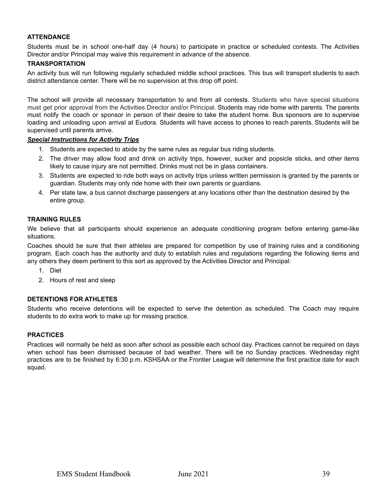#### <span id="page-38-0"></span>**ATTENDANCE**

Students must be in school one-half day (4 hours) to participate in practice or scheduled contests. The Activities Director and/or Principal may waive this requirement in advance of the absence.

#### <span id="page-38-1"></span>**TRANSPORTATION**

An activity bus will run following regularly scheduled middle school practices. This bus will transport students to each district attendance center. There will be no supervision at this drop off point.

The school will provide all necessary transportation to and from all contests. Students who have special situations must get prior approval from the Activities Director and/or Principal. Students may ride home with parents. The parents must notify the coach or sponsor in person of their desire to take the student home. Bus sponsors are to supervise loading and unloading upon arrival at Eudora. Students will have access to phones to reach parents. Students will be supervised until parents arrive.

#### *Special Instructions for Activity Trips*

- 1. Students are expected to abide by the same rules as regular bus riding students.
- 2. The driver may allow food and drink on activity trips, however, sucker and popsicle sticks, and other items likely to cause injury are not permitted. Drinks must not be in glass containers.
- 3. Students are expected to ride both ways on activity trips unless written permission is granted by the parents or guardian. Students may only ride home with their own parents or guardians.
- 4. Per state law, a bus cannot discharge passengers at any locations other than the destination desired by the entire group.

#### <span id="page-38-2"></span>**TRAINING RULES**

We believe that all participants should experience an adequate conditioning program before entering game-like situations.

Coaches should be sure that their athletes are prepared for competition by use of training rules and a conditioning program. Each coach has the authority and duty to establish rules and regulations regarding the following items and any others they deem pertinent to this sort as approved by the Activities Director and Principal:

- 1. Diet
- 2. Hours of rest and sleep

#### <span id="page-38-3"></span>**DETENTIONS FOR ATHLETES**

Students who receive detentions will be expected to serve the detention as scheduled. The Coach may require students to do extra work to make up for missing practice.

#### <span id="page-38-4"></span>**PRACTICES**

Practices will normally be held as soon after school as possible each school day. Practices cannot be required on days when school has been dismissed because of bad weather. There will be no Sunday practices. Wednesday night practices are to be finished by 6:30 p.m. KSHSAA or the Frontier League will determine the first practice date for each squad.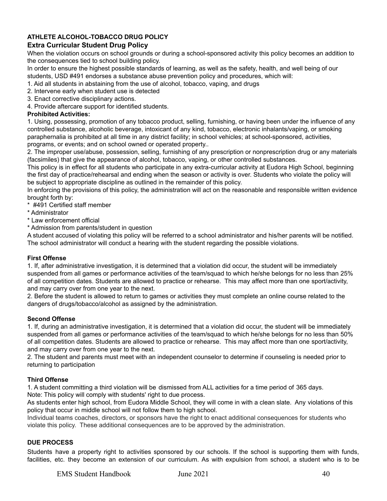#### <span id="page-39-0"></span>**ATHLETE ALCOHOL-TOBACCO DRUG POLICY**

#### **Extra Curricular Student Drug Policy**

When the violation occurs on school grounds or during a school-sponsored activity this policy becomes an addition to the consequences tied to school building policy.

In order to ensure the highest possible standards of learning, as well as the safety, health, and well being of our students, USD #491 endorses a substance abuse prevention policy and procedures, which will:

1. Aid all students in abstaining from the use of alcohol, tobacco, vaping, and drugs

- 2. Intervene early when student use is detected
- 3. Enact corrective disciplinary actions.

4. Provide aftercare support for identified students.

#### **Prohibited Activities:**

1. Using, possessing, promotion of any tobacco product, selling, furnishing, or having been under the influence of any controlled substance, alcoholic beverage, intoxicant of any kind, tobacco, electronic inhalants/vaping, or smoking paraphernalia is prohibited at all time in any district facility; in school vehicles; at school-sponsored, activities, programs, or events; and on school owned or operated property..

2. The improper use/abuse, possession, selling, furnishing of any prescription or nonprescription drug or any materials (facsimiles) that give the appearance of alcohol, tobacco, vaping, or other controlled substances.

This policy is in effect for all students who participate in any extra-curricular activity at Eudora High School, beginning the first day of practice/rehearsal and ending when the season or activity is over. Students who violate the policy will be subject to appropriate discipline as outlined in the remainder of this policy.

In enforcing the provisions of this policy, the administration will act on the reasonable and responsible written evidence brought forth by:

\* #491 Certified staff member

- \* Administrator
- \* Law enforcement official
- \* Admission from parents/student in question

A student accused of violating this policy will be referred to a school administrator and his/her parents will be notified. The school administrator will conduct a hearing with the student regarding the possible violations.

#### **First Offense**

1. If, after administrative investigation, it is determined that a violation did occur, the student will be immediately suspended from all games or performance activities of the team/squad to which he/she belongs for no less than 25% of all competition dates. Students are allowed to practice or rehearse. This may affect more than one sport/activity, and may carry over from one year to the next.

2. Before the student is allowed to return to games or activities they must complete an online course related to the dangers of drugs/tobacco/alcohol as assigned by the administration.

#### **Second Offense**

1. If, during an administrative investigation, it is determined that a violation did occur, the student will be immediately suspended from all games or performance activities of the team/squad to which he/she belongs for no less than 50% of all competition dates. Students are allowed to practice or rehearse. This may affect more than one sport/activity, and may carry over from one year to the next.

2. The student and parents must meet with an independent counselor to determine if counseling is needed prior to returning to participation

#### **Third Offense**

1. A student committing a third violation will be dismissed from ALL activities for a time period of 365 days. Note: This policy will comply with students' right to due process.

As students enter high school, from Eudora Middle School, they will come in with a clean slate. Any violations of this policy that occur in middle school will not follow them to high school.

Individual teams coaches, directors, or sponsors have the right to enact additional consequences for students who violate this policy. These additional consequences are to be approved by the administration.

#### <span id="page-39-1"></span>**DUE PROCESS**

Students have a property right to activities sponsored by our schools. If the school is supporting them with funds, facilities, etc. they become an extension of our curriculum. As with expulsion from school, a student who is to be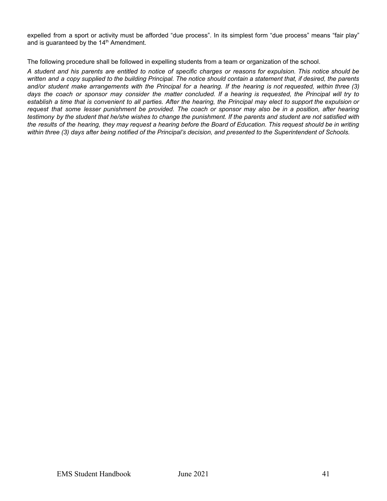expelled from a sport or activity must be afforded "due process". In its simplest form "due process" means "fair play" and is guaranteed by the 14<sup>th</sup> Amendment.

The following procedure shall be followed in expelling students from a team or organization of the school.

A student and his parents are entitled to notice of specific charges or reasons for expulsion. This notice should be written and a copy supplied to the building Principal. The notice should contain a statement that, if desired, the parents and/or student make arrangements with the Principal for a hearing. If the hearing is not requested, within three (3) days the coach or sponsor may consider the matter concluded. If a hearing is requested, the Principal will try to establish a time that is convenient to all parties. After the hearing, the Principal may elect to support the expulsion or request that some lesser punishment be provided. The coach or sponsor may also be in a position, after hearing testimony by the student that he/she wishes to change the punishment. If the parents and student are not satisfied with the results of the hearing, they may request a hearing before the Board of Education. This request should be in writing within three (3) days after being notified of the Principal's decision, and presented to the Superintendent of Schools.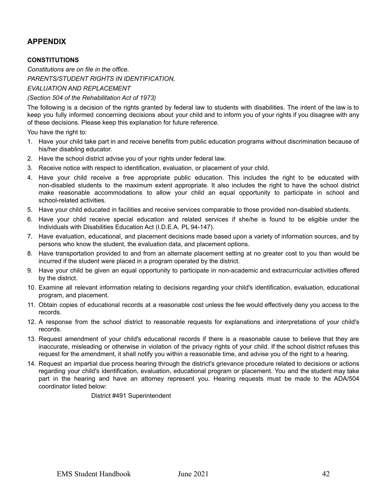#### <span id="page-41-0"></span>**APPENDIX**

#### <span id="page-41-1"></span>**CONSTITUTIONS**

*Constitutions are on file in the office. PARENTS/STUDENT RIGHTS IN IDENTIFICATION,*

*EVALUATION AND REPLACEMENT*

#### *(Section 504 of the Rehabilitation Act of 1973)*

The following is a decision of the rights granted by federal law to students with disabilities. The intent of the law is to keep you fully informed concerning decisions about your child and to inform you of your rights if you disagree with any of these decisions. Please keep this explanation for future reference.

You have the right to:

- 1. Have your child take part in and receive benefits from public education programs without discrimination because of his/her disabling educator.
- 2. Have the school district advise you of your rights under federal law.
- 3. Receive notice with respect to identification, evaluation, or placement of your child.
- 4. Have your child receive a free appropriate public education. This includes the right to be educated with non-disabled students to the maximum extent appropriate. It also includes the right to have the school district make reasonable accommodations to allow your child an equal opportunity to participate in school and school-related activities.
- 5. Have your child educated in facilities and receive services comparable to those provided non-disabled students.
- 6. Have your child receive special education and related services if she/he is found to be eligible under the Individuals with Disabilities Education Act (I.D.E.A. PL 94-147).
- 7. Have evaluation, educational, and placement decisions made based upon a variety of information sources, and by persons who know the student, the evaluation data, and placement options.
- 8. Have transportation provided to and from an alternate placement setting at no greater cost to you than would be incurred if the student were placed in a program operated by the district.
- 9. Have your child be given an equal opportunity to participate in non-academic and extracurricular activities offered by the district.
- 10. Examine all relevant information relating to decisions regarding your child's identification, evaluation, educational program, and placement.
- 11. Obtain copies of educational records at a reasonable cost unless the fee would effectively deny you access to the records.
- 12. A response from the school district to reasonable requests for explanations and interpretations of your child's records.
- 13. Request amendment of your child's educational records if there is a reasonable cause to believe that they are inaccurate, misleading or otherwise in violation of the privacy rights of your child. If the school district refuses this request for the amendment, it shall notify you within a reasonable time, and advise you of the right to a hearing.
- 14. Request an impartial due process hearing through the district's grievance procedure related to decisions or actions regarding your child's identification, evaluation, educational program or placement. You and the student may take part in the hearing and have an attorney represent you. Hearing requests must be made to the ADA/504 coordinator listed below:

District #491 Superintendent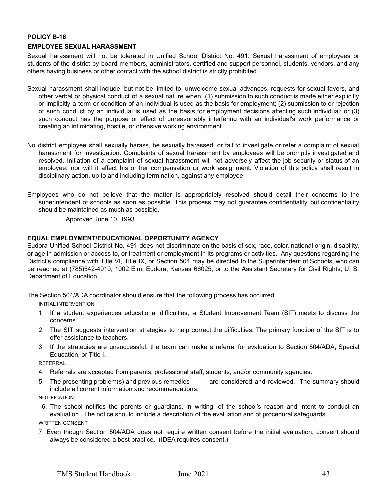#### <span id="page-42-0"></span>**POLICY B-16 EMPLOYEE SEXUAL HARASSMENT**

Sexual harassment will not be tolerated in Unified School District No. 491. Sexual harassment of employees or students of the district by board members, administrators, certified and support personnel, students, vendors, and any others having business or other contact with the school district is strictly prohibited.

- Sexual harassment shall include, but not be limited to, unwelcome sexual advances, requests for sexual favors, and other verbal or physical conduct of a sexual nature when: (1) submission to such conduct is made either explicitly or implicitly a term or condition of an individual is used as the basis for employment; (2) submission to or rejection of such conduct by an individual is used as the basis for employment decisions affecting such individual; or (3) such conduct has the purpose or effect of unreasonably interfering with an individual's work performance or creating an intimidating, hostile, or offensive working environment.
- No district employee shall sexually harass, be sexually harassed, or fail to investigate or refer a complaint of sexual harassment for investigation. Complaints of sexual harassment by employees will be promptly investigated and resolved. Initiation of a complaint of sexual harassment will not adversely affect the job security or status of an employee, nor will it affect his or her compensation or work assignment. Violation of this policy shall result in disciplinary action, up to and including termination, against any employee.
- Employees who do not believe that the matter is appropriately resolved should detail their concerns to the superintendent of schools as soon as possible. This process may not guarantee confidentiality, but confidentiality should be maintained as much as possible.

Approved June 10, 1993

#### <span id="page-42-1"></span>**EQUAL EMPLOYMENT/EDUCATIONAL OPPORTUNITY AGENCY**

Eudora Unified School District No. 491 does not discriminate on the basis of sex, race, color, national origin, disability, or age in admission or access to, or treatment or employment in its programs or activities. Any questions regarding the District's compliance with Title VI, Title IX, or Section 504 may be directed to the Superintendent of Schools, who can be reached at (785)542-4910, 1002 Elm, Eudora, Kansas 66025, or to the Assistant Secretary for Civil Rights, U. S. Department of Education.

The Section 504/ADA coordinator should ensure that the following process has occurred:

INITIAL INTERVENTION

- 1. If a student experiences educational difficulties, a Student Improvement Team (SIT) meets to discuss the concerns.
- 2. The SIT suggests intervention strategies to help correct the difficulties. The primary function of the SIT is to offer assistance to teachers.
- 3. If the strategies are unsuccessful, the team can make a referral for evaluation to Section 504/ADA, Special Education, or Title I.

REFERRAL

- 4. Referrals are accepted from parents, professional staff, students, and/or community agencies.
- 5. The presenting problem(s) and previous remedies are considered and reviewed. The summary should include all current information and recommendations.

**NOTIFICATION** 

- 6. The school notifies the parents or guardians, in writing, of the school's reason and intent to conduct an evaluation. The notice should include a description of the evaluation and of procedural safeguards. WRITTEN CONSENT
- 7. Even though Section 504/ADA does not require written consent before the initial evaluation, consent should always be considered a best practice. (IDEA requires consent.)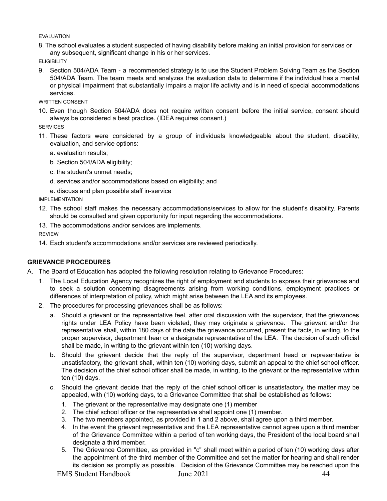#### EVALUATION

8. The school evaluates a student suspected of having disability before making an initial provision for services or any subsequent, significant change in his or her services.

**ELIGIBILITY** 

9. Section 504/ADA Team - a recommended strategy is to use the Student Problem Solving Team as the Section 504/ADA Team. The team meets and analyzes the evaluation data to determine if the individual has a mental or physical impairment that substantially impairs a major life activity and is in need of special accommodations services.

WRITTEN CONSENT

10. Even though Section 504/ADA does not require written consent before the initial service, consent should always be considered a best practice. (IDEA requires consent.)

**SERVICES** 

- 11. These factors were considered by a group of individuals knowledgeable about the student, disability, evaluation, and service options:
	- a. evaluation results;
	- b. Section 504/ADA eligibility;
	- c. the student's unmet needs;
	- d. services and/or accommodations based on eligibility; and
	- e. discuss and plan possible staff in-service

IMPLEMENTATION

- 12. The school staff makes the necessary accommodations/services to allow for the student's disability. Parents should be consulted and given opportunity for input regarding the accommodations.
- 13. The accommodations and/or services are implements.

REVIEW

14. Each student's accommodations and/or services are reviewed periodically.

#### <span id="page-43-0"></span>**GRIEVANCE PROCEDURES**

- A. The Board of Education has adopted the following resolution relating to Grievance Procedures:
	- 1. The Local Education Agency recognizes the right of employment and students to express their grievances and to seek a solution concerning disagreements arising from working conditions, employment practices or differences of interpretation of policy, which might arise between the LEA and its employees.
	- 2. The procedures for processing grievances shall be as follows:
		- a. Should a grievant or the representative feel, after oral discussion with the supervisor, that the grievances rights under LEA Policy have been violated, they may originate a grievance. The grievant and/or the representative shall, within 180 days of the date the grievance occurred, present the facts, in writing, to the proper supervisor, department hear or a designate representative of the LEA. The decision of such official shall be made, in writing to the grievant within ten (10) working days.
		- b. Should the grievant decide that the reply of the supervisor, department head or representative is unsatisfactory, the grievant shall, within ten (10) working days, submit an appeal to the chief school officer. The decision of the chief school officer shall be made, in writing, to the grievant or the representative within ten (10) days.
		- c. Should the grievant decide that the reply of the chief school officer is unsatisfactory, the matter may be appealed, with (10) working days, to a Grievance Committee that shall be established as follows:
			- 1. The grievant or the representative may designate one (1) member
			- 2. The chief school officer or the representative shall appoint one (1) member.
			- 3. The two members appointed, as provided in 1 and 2 above, shall agree upon a third member.
			- 4. In the event the grievant representative and the LEA representative cannot agree upon a third member of the Grievance Committee within a period of ten working days, the President of the local board shall designate a third member.
			- 5. The Grievance Committee, as provided in "c" shall meet within a period of ten (10) working days after the appointment of the third member of the Committee and set the matter for hearing and shall render its decision as promptly as possible. Decision of the Grievance Committee may be reached upon the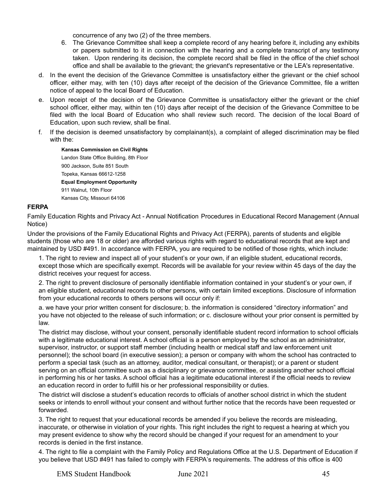concurrence of any two (2) of the three members.

- 6. The Grievance Committee shall keep a complete record of any hearing before it, including any exhibits or papers submitted to it in connection with the hearing and a complete transcript of any testimony taken. Upon rendering its decision, the complete record shall be filed in the office of the chief school office and shall be available to the grievant; the grievant's representative or the LEA's representative.
- d. In the event the decision of the Grievance Committee is unsatisfactory either the grievant or the chief school officer, either may, with ten (10) days after receipt of the decision of the Grievance Committee, file a written notice of appeal to the local Board of Education.
- e. Upon receipt of the decision of the Grievance Committee is unsatisfactory either the grievant or the chief school officer, either may, within ten (10) days after receipt of the decision of the Grievance Committee to be filed with the local Board of Education who shall review such record. The decision of the local Board of Education, upon such review, shall be final.
- f. If the decision is deemed unsatisfactory by complainant(s), a complaint of alleged discrimination may be filed with the:

**Kansas Commission on Civil Rights** Landon State Office Building, 8th Floor 900 Jackson, Suite 851 South Topeka, Kansas 66612-1258 **Equal Employment Opportunity** 911 Walnut, 10th Floor Kansas City, Missouri 64106

#### <span id="page-44-0"></span>**FERPA**

Family Education Rights and Privacy Act - Annual Notification Procedures in Educational Record Management (Annual Notice)

Under the provisions of the Family Educational Rights and Privacy Act (FERPA), parents of students and eligible students (those who are 18 or older) are afforded various rights with regard to educational records that are kept and maintained by USD #491. In accordance with FERPA, you are required to be notified of those rights, which include:

1. The right to review and inspect all of your student's or your own, if an eligible student, educational records, except those which are specifically exempt. Records will be available for your review within 45 days of the day the district receives your request for access.

2. The right to prevent disclosure of personally identifiable information contained in your student's or your own, if an eligible student, educational records to other persons, with certain limited exceptions. Disclosure of information from your educational records to others persons will occur only if:

a. we have your prior written consent for disclosure; b. the information is considered "directory information" and you have not objected to the release of such information; or c. disclosure without your prior consent is permitted by law.

The district may disclose, without your consent, personally identifiable student record information to school officials with a legitimate educational interest. A school official is a person employed by the school as an administrator, supervisor, instructor, or support staff member (including health or medical staff and law enforcement unit personnel); the school board (in executive session); a person or company with whom the school has contracted to perform a special task (such as an attorney, auditor, medical consultant, or therapist); or a parent or student serving on an official committee such as a disciplinary or grievance committee, or assisting another school official in performing his or her tasks. A school official has a legitimate educational interest if the official needs to review an education record in order to fulfill his or her professional responsibility or duties.

The district will disclose a student's education records to officials of another school district in which the student seeks or intends to enroll without your consent and without further notice that the records have been requested or forwarded.

3. The right to request that your educational records be amended if you believe the records are misleading, inaccurate, or otherwise in violation of your rights. This right includes the right to request a hearing at which you may present evidence to show why the record should be changed if your request for an amendment to your records is denied in the first instance.

4. The right to file a complaint with the Family Policy and Regulations Office at the U.S. Department of Education if you believe that USD #491 has failed to comply with FERPA's requirements. The address of this office is 400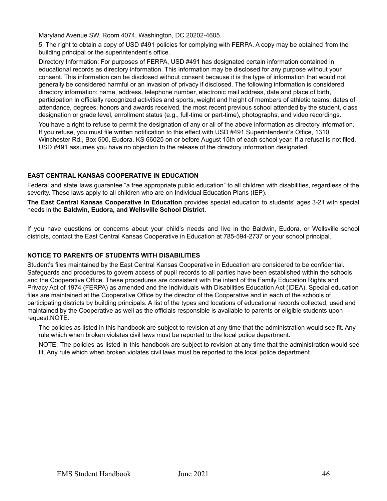Maryland Avenue SW, Room 4074, Washington, DC 20202-4605.

5. The right to obtain a copy of USD #491 policies for complying with FERPA. A copy may be obtained from the building principal or the superintendent's office.

Directory Information: For purposes of FERPA, USD #491 has designated certain information contained in educational records as directory information. This information may be disclosed for any purpose without your consent. This information can be disclosed without consent because it is the type of information that would not generally be considered harmful or an invasion of privacy if disclosed. The following information is considered directory information: name, address, telephone number, electronic mail address, date and place of birth, participation in officially recognized activities and sports, weight and height of members of athletic teams, dates of attendance, degrees, honors and awards received, the most recent previous school attended by the student, class designation or grade level, enrollment status (e.g., full-time or part-time), photographs, and video recordings.

You have a right to refuse to permit the designation of any or all of the above information as directory information. If you refuse, you must file written notification to this effect with USD #491 Superintendent's Office, 1310 Winchester Rd., Box 500, Eudora, KS 66025 on or before August 15th of each school year. If a refusal is not filed, USD #491 assumes you have no objection to the release of the directory information designated.

#### <span id="page-45-0"></span>**EAST CENTRAL KANSAS COOPERATIVE IN EDUCATION**

Federal and state laws guarantee "a free appropriate public education" to all children with disabilities, regardless of the severity. These laws apply to all children who are on Individual Education Plans (IEP).

**The East Central Kansas Cooperative in Education** provides special education to students' ages 3-21 with special needs in the **Baldwin, Eudora, and Wellsville School District**.

If you have questions or concerns about your child's needs and live in the Baldwin, Eudora, or Wellsville school districts, contact the East Central Kansas Cooperative in Education at 785-594-2737 or your school principal.

#### <span id="page-45-1"></span>**NOTICE TO PARENTS OF STUDENTS WITH DISABILITIES**

Student's files maintained by the East Central Kansas Cooperative in Education are considered to be confidential. Safeguards and procedures to govern access of pupil records to all parties have been established within the schools and the Cooperative Office. These procedures are consistent with the intent of the Family Education Rights and Privacy Act of 1974 (FERPA) as amended and the Individuals with Disabilities Education Act (IDEA). Special education files are maintained at the Cooperative Office by the director of the Cooperative and in each of the schools of participating districts by building principals. A list of the types and locations of educational records collected, used and maintained by the Cooperative as well as the officials responsible is available to parents or eligible students upon request.NOTE:

The policies as listed in this handbook are subject to revision at any time that the administration would see fit. Any rule which when broken violates civil laws must be reported to the local police department.

NOTE: The policies as listed in this handbook are subject to revision at any time that the administration would see fit. Any rule which when broken violates civil laws must be reported to the local police department.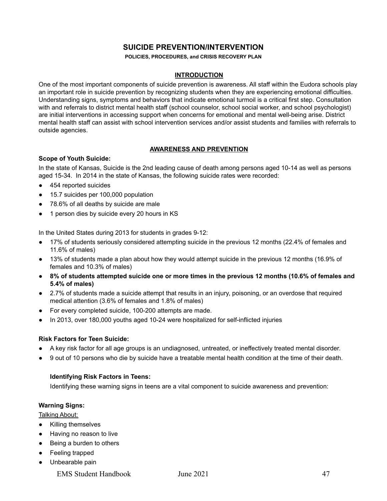#### **SUICIDE PREVENTION/INTERVENTION**

**POLICIES, PROCEDURES, and CRISIS RECOVERY PLAN**

#### **INTRODUCTION**

<span id="page-46-0"></span>One of the most important components of suicide prevention is awareness. All staff within the Eudora schools play an important role in suicide prevention by recognizing students when they are experiencing emotional difficulties. Understanding signs, symptoms and behaviors that indicate emotional turmoil is a critical first step. Consultation with and referrals to district mental health staff (school counselor, school social worker, and school psychologist) are initial interventions in accessing support when concerns for emotional and mental well-being arise. District mental health staff can assist with school intervention services and/or assist students and families with referrals to outside agencies.

#### **AWARENESS AND PREVENTION**

#### **Scope of Youth Suicide:**

In the state of Kansas, Suicide is the 2nd leading cause of death among persons aged 10-14 as well as persons aged 15-34. In 2014 in the state of Kansas, the following suicide rates were recorded:

- 454 reported suicides
- 15.7 suicides per 100,000 population
- 78.6% of all deaths by suicide are male
- 1 person dies by suicide every 20 hours in KS

In the United States during 2013 for students in grades 9-12:

- 17% of students seriously considered attempting suicide in the previous 12 months (22.4% of females and 11.6% of males)
- 13% of students made a plan about how they would attempt suicide in the previous 12 months (16.9% of females and 10.3% of males)
- 8% of students attempted suicide one or more times in the previous 12 months (10.6% of females and **5.4% of males)**
- 2.7% of students made a suicide attempt that results in an injury, poisoning, or an overdose that required medical attention (3.6% of females and 1.8% of males)
- For every completed suicide, 100-200 attempts are made.
- In 2013, over 180,000 youths aged 10-24 were hospitalized for self-inflicted injuries

#### **Risk Factors for Teen Suicide:**

- A key risk factor for all age groups is an undiagnosed, untreated, or ineffectively treated mental disorder.
- 9 out of 10 persons who die by suicide have a treatable mental health condition at the time of their death.

#### **Identifying Risk Factors in Teens:**

Identifying these warning signs in teens are a vital component to suicide awareness and prevention:

#### **Warning Signs:**

Talking About:

- Killing themselves
- Having no reason to live
- Being a burden to others
- Feeling trapped
- Unbearable pain
	- EMS Student Handbook June 2021 47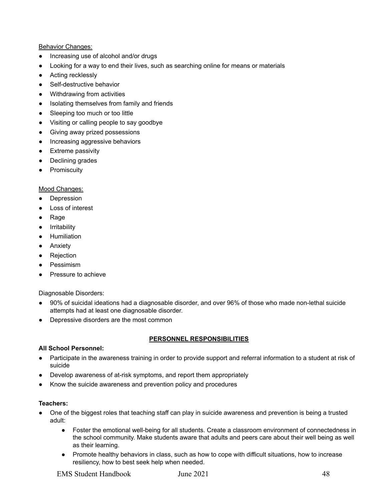#### Behavior Changes:

- Increasing use of alcohol and/or drugs
- Looking for a way to end their lives, such as searching online for means or materials
- Acting recklessly
- Self-destructive behavior
- Withdrawing from activities
- Isolating themselves from family and friends
- Sleeping too much or too little
- Visiting or calling people to say goodbye
- Giving away prized possessions
- Increasing aggressive behaviors
- Extreme passivity
- Declining grades
- Promiscuity

#### Mood Changes:

- Depression
- Loss of interest
- Rage
- Irritability
- Humiliation
- Anxiety
- Rejection
- Pessimism
- Pressure to achieve

Diagnosable Disorders:

- 90% of suicidal ideations had a diagnosable disorder, and over 96% of those who made non-lethal suicide attempts had at least one diagnosable disorder.
- Depressive disorders are the most common

#### **PERSONNEL RESPONSIBILITIES**

#### **All School Personnel:**

- Participate in the awareness training in order to provide support and referral information to a student at risk of suicide
- Develop awareness of at-risk symptoms, and report them appropriately
- Know the suicide awareness and prevention policy and procedures

#### **Teachers:**

- One of the biggest roles that teaching staff can play in suicide awareness and prevention is being a trusted adult:
	- Foster the emotional well-being for all students. Create a classroom environment of connectedness in the school community. Make students aware that adults and peers care about their well being as well as their learning.
	- Promote healthy behaviors in class, such as how to cope with difficult situations, how to increase resiliency, how to best seek help when needed.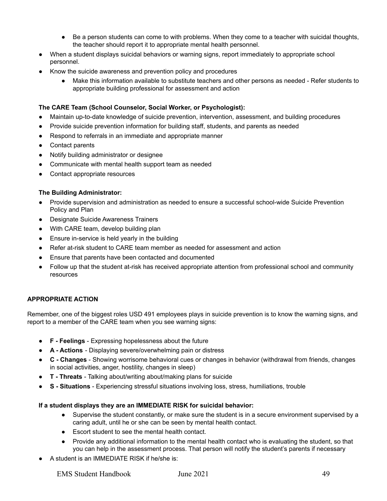- Be a person students can come to with problems. When they come to a teacher with suicidal thoughts, the teacher should report it to appropriate mental health personnel.
- When a student displays suicidal behaviors or warning signs, report immediately to appropriate school personnel.
- Know the suicide awareness and prevention policy and procedures
	- Make this information available to substitute teachers and other persons as needed Refer students to appropriate building professional for assessment and action

#### **The CARE Team (School Counselor, Social Worker, or Psychologist):**

- Maintain up-to-date knowledge of suicide prevention, intervention, assessment, and building procedures
- Provide suicide prevention information for building staff, students, and parents as needed
- Respond to referrals in an immediate and appropriate manner
- Contact parents
- Notify building administrator or designee
- Communicate with mental health support team as needed
- Contact appropriate resources

#### **The Building Administrator:**

- Provide supervision and administration as needed to ensure a successful school-wide Suicide Prevention Policy and Plan
- Designate Suicide Awareness Trainers
- With CARE team, develop building plan
- Ensure in-service is held yearly in the building
- Refer at-risk student to CARE team member as needed for assessment and action
- Ensure that parents have been contacted and documented
- Follow up that the student at-risk has received appropriate attention from professional school and community resources

#### **APPROPRIATE ACTION**

Remember, one of the biggest roles USD 491 employees plays in suicide prevention is to know the warning signs, and report to a member of the CARE team when you see warning signs:

- **F - Feelings** Expressing hopelessness about the future
- **A - Actions** Displaying severe/overwhelming pain or distress
- **C - Changes** Showing worrisome behavioral cues or changes in behavior (withdrawal from friends, changes in social activities, anger, hostility, changes in sleep)
- **T - Threats** Talking about/writing about/making plans for suicide
- **S - Situations** Experiencing stressful situations involving loss, stress, humiliations, trouble

#### **If a student displays they are an IMMEDIATE RISK for suicidal behavior:**

- Supervise the student constantly, or make sure the student is in a secure environment supervised by a caring adult, until he or she can be seen by mental health contact.
- Escort student to see the mental health contact.
- Provide any additional information to the mental health contact who is evaluating the student, so that you can help in the assessment process. That person will notify the student's parents if necessary
- A student is an IMMEDIATE RISK if he/she is: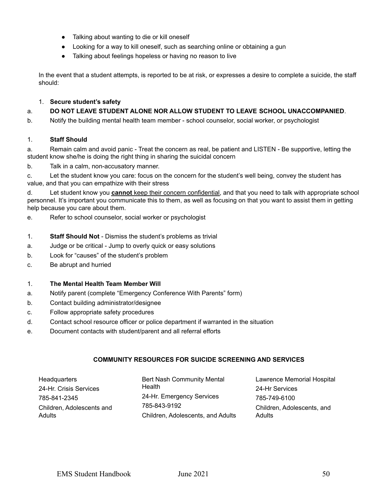- Talking about wanting to die or kill oneself
- Looking for a way to kill oneself, such as searching online or obtaining a gun
- Talking about feelings hopeless or having no reason to live

In the event that a student attempts, is reported to be at risk, or expresses a desire to complete a suicide, the staff should:

#### 1. **Secure student's safety**

#### a. **DO NOT LEAVE STUDENT ALONE NOR ALLOW STUDENT TO LEAVE SCHOOL UNACCOMPANIED**.

b. Notify the building mental health team member - school counselor, social worker, or psychologist

#### 1. **Staff Should**

a. Remain calm and avoid panic - Treat the concern as real, be patient and LISTEN - Be supportive, letting the student know she/he is doing the right thing in sharing the suicidal concern

b. Talk in a calm, non-accusatory manner.

c. Let the student know you care: focus on the concern for the student's well being, convey the student has value, and that you can empathize with their stress

d. Let student know you **cannot** keep their concern confidential, and that you need to talk with appropriate school personnel. It's important you communicate this to them, as well as focusing on that you want to assist them in getting help because you care about them.

e. Refer to school counselor, social worker or psychologist

#### 1. **Staff Should Not** - Dismiss the student's problems as trivial

- a. Judge or be critical Jump to overly quick or easy solutions
- b. Look for "causes" of the student's problem
- c. Be abrupt and hurried

#### 1. **The Mental Health Team Member Will**

- a. Notify parent (complete "Emergency Conference With Parents" form)
- b. Contact building administrator/designee
- c. Follow appropriate safety procedures
- d. Contact school resource officer or police department if warranted in the situation
- e. Document contacts with student/parent and all referral efforts

#### **COMMUNITY RESOURCES FOR SUICIDE SCREENING AND SERVICES**

| Headquarters              | Bert Nash Community Mental        | Lawrence Memorial Hospital |
|---------------------------|-----------------------------------|----------------------------|
| 24-Hr. Crisis Services    | Health                            | 24-Hr Services             |
| 785-841-2345              | 24-Hr. Emergency Services         | 785-749-6100               |
| Children, Adolescents and | 785-843-9192                      | Children, Adolescents, and |
| <b>Adults</b>             | Children, Adolescents, and Adults | Adults                     |